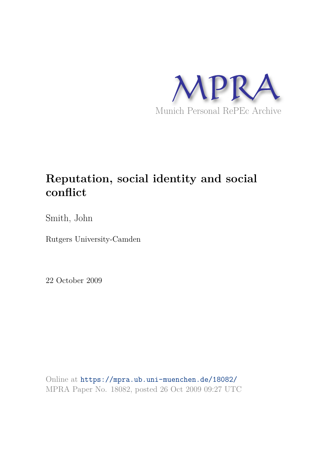

# **Reputation, social identity and social conflict**

Smith, John

Rutgers University-Camden

22 October 2009

Online at https://mpra.ub.uni-muenchen.de/18082/ MPRA Paper No. 18082, posted 26 Oct 2009 09:27 UTC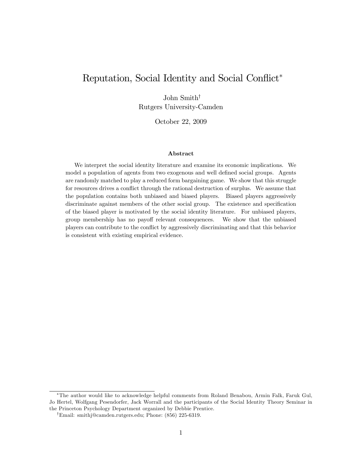# Reputation, Social Identity and Social Conflict<sup>\*</sup>

John Smith<sup>†</sup> Rutgers University-Camden

October 22, 2009

#### Abstract

We interpret the social identity literature and examine its economic implications. We model a population of agents from two exogenous and well defined social groups. Agents are randomly matched to play a reduced form bargaining game. We show that this struggle for resources drives a conflict through the rational destruction of surplus. We assume that the population contains both unbiased and biased players. Biased players aggressively discriminate against members of the other social group. The existence and specification of the biased player is motivated by the social identity literature. For unbiased players, group membership has no payoff relevant consequences. We show that the unbiased players can contribute to the conáict by aggressively discriminating and that this behavior is consistent with existing empirical evidence.

The author would like to acknowledge helpful comments from Roland Benabou, Armin Falk, Faruk Gul, Jo Hertel, Wolfgang Pesendorfer, Jack Worrall and the participants of the Social Identity Theory Seminar in the Princeton Psychology Department organized by Debbie Prentice.

<sup>&</sup>lt;sup>†</sup>Email: smithj@camden.rutgers.edu; Phone: (856) 225-6319.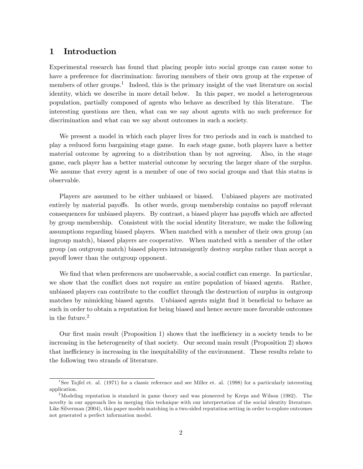# 1 Introduction

Experimental research has found that placing people into social groups can cause some to have a preference for discrimination: favoring members of their own group at the expense of members of other groups.<sup>1</sup> Indeed, this is the primary insight of the vast literature on social identity, which we describe in more detail below. In this paper, we model a heterogeneous population, partially composed of agents who behave as described by this literature. The interesting questions are then, what can we say about agents with no such preference for discrimination and what can we say about outcomes in such a society.

We present a model in which each player lives for two periods and in each is matched to play a reduced form bargaining stage game. In each stage game, both players have a better material outcome by agreeing to a distribution than by not agreeing. Also, in the stage game, each player has a better material outcome by securing the larger share of the surplus. We assume that every agent is a member of one of two social groups and that this status is observable.

Players are assumed to be either unbiased or biased. Unbiased players are motivated entirely by material payoffs. In other words, group membership contains no payoff relevant consequences for unbiased players. By contrast, a biased player has payoffs which are affected by group membership. Consistent with the social identity literature, we make the following assumptions regarding biased players. When matched with a member of their own group (an ingroup match), biased players are cooperative. When matched with a member of the other group (an outgroup match) biased players intransigently destroy surplus rather than accept a payoff lower than the outgroup opponent.

We find that when preferences are unobservable, a social conflict can emerge. In particular, we show that the conflict does not require an entire population of biased agents. Rather, unbiased players can contribute to the conflict through the destruction of surplus in outgroup matches by mimicking biased agents. Unbiased agents might find it beneficial to behave as such in order to obtain a reputation for being biased and hence secure more favorable outcomes in the future.<sup>2</sup>

Our first main result (Proposition 1) shows that the inefficiency in a society tends to be increasing in the heterogeneity of that society. Our second main result (Proposition 2) shows that inefficiency is increasing in the inequitability of the environment. These results relate to the following two strands of literature.

<sup>&</sup>lt;sup>1</sup>See Tajfel et. al. (1971) for a classic reference and see Miller et. al. (1998) for a particularly interesting application.

<sup>&</sup>lt;sup>2</sup>Modeling reputation is standard in game theory and was pioneered by Kreps and Wilson (1982). The novelty in our approach lies in merging this technique with our interpretation of the social identity literature. Like Silverman (2004), this paper models matching in a two-sided reputation setting in order to explore outcomes not generated a perfect information model.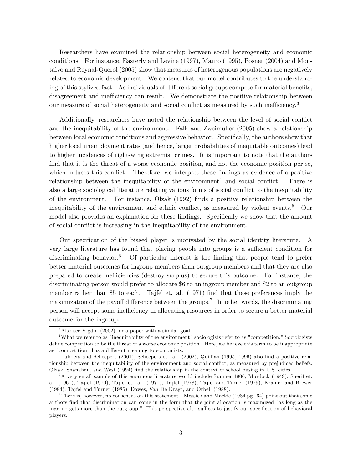Researchers have examined the relationship between social heterogeneity and economic conditions. For instance, Easterly and Levine (1997), Mauro (1995), Posner (2004) and Montalvo and Reynal-Querol (2005) show that measures of heterogenous populations are negatively related to economic development. We contend that our model contributes to the understanding of this stylized fact. As individuals of different social groups compete for material benefits, disagreement and inefficiency can result. We demonstrate the positive relationship between our measure of social heterogeneity and social conflict as measured by such inefficiency.<sup>3</sup>

Additionally, researchers have noted the relationship between the level of social conflict and the inequitability of the environment. Falk and Zweimuller (2005) show a relationship between local economic conditions and aggressive behavior. Specifically, the authors show that higher local unemployment rates (and hence, larger probabilities of inequitable outcomes) lead to higher incidences of right-wing extremist crimes. It is important to note that the authors find that it is the threat of a worse economic position, and not the economic position per se, which induces this conflict. Therefore, we interpret these findings as evidence of a positive relationship between the inequitability of the environment<sup>4</sup> and social conflict. There is also a large sociological literature relating various forms of social conflict to the inequitability of the environment. For instance, Olzak (1992) finds a positive relationship between the inequitability of the environment and ethnic conflict, as measured by violent events.<sup>5</sup> Our model also provides an explanation for these findings. Specifically we show that the amount of social conflict is increasing in the inequitability of the environment.

Our specification of the biased player is motivated by the social identity literature. A very large literature has found that placing people into groups is a sufficient condition for discriminating behavior.<sup>6</sup> Of particular interest is the finding that people tend to prefer better material outcomes for ingroup members than outgroup members and that they are also prepared to create inefficiencies (destroy surplus) to secure this outcome. For instance, the discriminating person would prefer to allocate \$6 to an ingroup member and \$2 to an outgroup member rather than \$5 to each. Tajfel et. al. (1971) find that these preferences imply the maximization of the payoff difference between the groups.<sup>7</sup> In other words, the discriminating person will accept some inefficiency in allocating resources in order to secure a better material outcome for the ingroup.

<sup>3</sup>Also see Vigdor (2002) for a paper with a similar goal.

<sup>4</sup>What we refer to as "inequitability of the environment" sociologists refer to as "competition." Sociologists define competition to be the threat of a worse economic position. Here, we believe this term to be inappropriate as "competition" has a different meaning to economists.

 $5$ Lubbers and Scheepers (2001), Scheepers et. al. (2002), Quillian (1995, 1996) also find a positive relationship between the inequitability of the environment and social conflict, as measured by prejudiced beliefs. Olzak, Shanahan, and West (1994) Önd the relationship in the context of school busing in U.S. cities.

<sup>6</sup>A very small sample of this enormous literature would include Sumner 1906, Murdock (1949), Sherif et. al. (1961), Tajfel (1970), Tajfel et. al. (1971), Tajfel (1978), Tajfel and Turner (1979), Kramer and Brewer (1984), Tajfel and Turner (1986), Dawes, Van De Kragt, and Orbell (1988).

<sup>7</sup>There is, however, no consensus on this statement. Messick and Mackie (1984 pg. 64) point out that some authors Önd that discrimination can come in the form that the joint allocation is maximized "as long as the ingroup gets more than the outgroup." This perspective also suffices to justify our specification of behavioral players.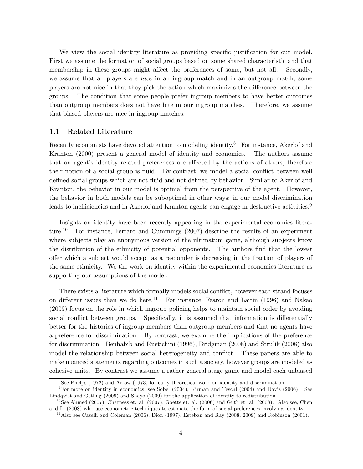We view the social identity literature as providing specific justification for our model. First we assume the formation of social groups based on some shared characteristic and that membership in these groups might affect the preferences of some, but not all. Secondly, we assume that all players are *nice* in an ingroup match and in an outgroup match, some players are not nice in that they pick the action which maximizes the difference between the groups. The condition that some people prefer ingroup members to have better outcomes than outgroup members does not have bite in our ingroup matches. Therefore, we assume that biased players are nice in ingroup matches.

#### 1.1 Related Literature

Recently economists have devoted attention to modeling identity.<sup>8</sup> For instance, Akerlof and Kranton (2000) present a general model of identity and economics. The authors assume that an agent's identity related preferences are affected by the actions of others, therefore their notion of a social group is fluid. By contrast, we model a social conflict between well defined social groups which are not fluid and not defined by behavior. Similar to Akerlof and Kranton, the behavior in our model is optimal from the perspective of the agent. However, the behavior in both models can be suboptimal in other ways: in our model discrimination leads to inefficiencies and in Akerlof and Kranton agents can engage in destructive activities.<sup>9</sup>

Insights on identity have been recently appearing in the experimental economics literature.<sup>10</sup> For instance, Ferraro and Cummings (2007) describe the results of an experiment where subjects play an anonymous version of the ultimatum game, although subjects know the distribution of the ethnicity of potential opponents. The authors Önd that the lowest o§er which a subject would accept as a responder is decreasing in the fraction of players of the same ethnicity. We the work on identity within the experimental economics literature as supporting our assumptions of the model.

There exists a literature which formally models social conflict, however each strand focuses on different issues than we do here.<sup>11</sup> For instance, Fearon and Laitin (1996) and Nakao (2009) focus on the role in which ingroup policing helps to maintain social order by avoiding social conflict between groups. Specifically, it is assumed that information is differentially better for the histories of ingroup members than outgroup members and that no agents have a preference for discrimination. By contrast, we examine the implications of the preference for discrimination. Benhabib and Rustichini (1996), Bridgman (2008) and Strulik (2008) also model the relationship between social heterogeneity and conflict. These papers are able to make nuanced statements regarding outcomes in such a society, however groups are modeled as cohesive units. By contrast we assume a rather general stage game and model each unbiased

<sup>8</sup> See Phelps (1972) and Arrow (1973) for early theoretical work on identity and discrimination.

<sup>&</sup>lt;sup>9</sup>For more on identity in economics, see Sobel (2004), Kirman and Teschl (2004) and Davis (2006) See Lindqvist and Ostling (2009) and Shayo (2009) for the application of identity to redistribution.

<sup>&</sup>lt;sup>10</sup>See Ahmed (2007), Charness et. al. (2007), Goette et. al. (2006) and Guth et. al. (2008). Also see, Chen and Li (2008) who use econometric techniques to estimate the form of social preferences involving identity.

<sup>&</sup>lt;sup>11</sup> Also see Caselli and Coleman (2006), Dion (1997), Esteban and Ray (2008, 2009) and Robinson (2001).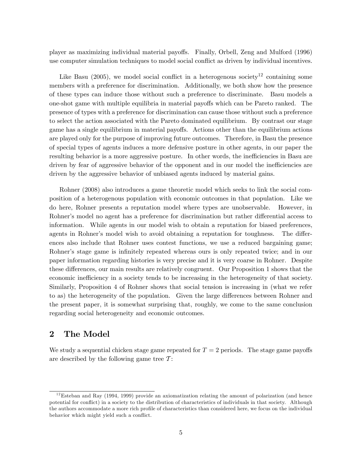player as maximizing individual material payo§s. Finally, Orbell, Zeng and Mulford (1996) use computer simulation techniques to model social conflict as driven by individual incentives.

Like Basu (2005), we model social conflict in a heterogenous society<sup>12</sup> containing some members with a preference for discrimination. Additionally, we both show how the presence of these types can induce those without such a preference to discriminate. Basu models a one-shot game with multiple equilibria in material payoffs which can be Pareto ranked. The presence of types with a preference for discrimination can cause those without such a preference to select the action associated with the Pareto dominated equilibrium. By contrast our stage game has a single equilibrium in material payoffs. Actions other than the equilibrium actions are played only for the purpose of improving future outcomes. Therefore, in Basu the presence of special types of agents induces a more defensive posture in other agents, in our paper the resulting behavior is a more aggressive posture. In other words, the inefficiencies in Basu are driven by fear of aggressive behavior of the opponent and in our model the inefficiencies are driven by the aggressive behavior of unbiased agents induced by material gains.

Rohner (2008) also introduces a game theoretic model which seeks to link the social composition of a heterogenous population with economic outcomes in that population. Like we do here, Rohner presents a reputation model where types are unobservable. However, in Rohner's model no agent has a preference for discrimination but rather differential access to information. While agents in our model wish to obtain a reputation for biased preferences, agents in Rohner's model wish to avoid obtaining a reputation for toughness. The differences also include that Rohner uses contest functions, we use a reduced bargaining game; Rohner's stage game is infinitely repeated whereas ours is only repeated twice; and in our paper information regarding histories is very precise and it is very coarse in Rohner. Despite these differences, our main results are relatively congruent. Our Proposition 1 shows that the economic inefficiency in a society tends to be increasing in the heterogeneity of that society. Similarly, Proposition 4 of Rohner shows that social tension is increasing in (what we refer to as) the heterogeneity of the population. Given the large differences between Rohner and the present paper, it is somewhat surprising that, roughly, we come to the same conclusion regarding social heterogeneity and economic outcomes.

# 2 The Model

We study a sequential chicken stage game repeated for  $T = 2$  periods. The stage game payoffs are described by the following game tree  $\mathcal{T}$ :

 $12$  Esteban and Ray (1994, 1999) provide an axiomatization relating the amount of polarization (and hence potential for conflict) in a society to the distribution of characteristics of individuals in that society. Although the authors accommodate a more rich profile of characteristics than considered here, we focus on the individual behavior which might yield such a conflict.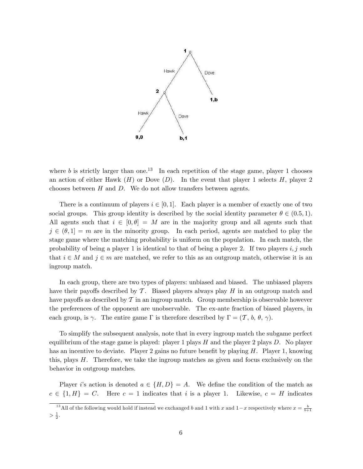

where b is strictly larger than one.<sup>13</sup> In each repetition of the stage game, player 1 chooses an action of either Hawk  $(H)$  or Dove  $(D)$ . In the event that player 1 selects H, player 2 chooses between  $H$  and  $D$ . We do not allow transfers between agents.

There is a continuum of players  $i \in [0, 1]$ . Each player is a member of exactly one of two social groups. This group identity is described by the social identity parameter  $\theta \in (0.5, 1)$ . All agents such that  $i \in [0, \theta] = M$  are in the majority group and all agents such that  $j \in (\theta, 1] = m$  are in the minority group. In each period, agents are matched to play the stage game where the matching probability is uniform on the population. In each match, the probability of being a player 1 is identical to that of being a player 2. If two players  $i, j$  such that  $i \in M$  and  $j \in m$  are matched, we refer to this as an outgroup match, otherwise it is an ingroup match.

In each group, there are two types of players: unbiased and biased. The unbiased players have their payoffs described by  $\mathcal T$ . Biased players always play H in an outgroup match and have payoffs as described by  $\mathcal T$  in an ingroup match. Group membership is observable however the preferences of the opponent are unobservable. The ex-ante fraction of biased players, in each group, is  $\gamma$ . The entire game  $\Gamma$  is therefore described by  $\Gamma = (\mathcal{T}, b, \theta, \gamma)$ .

To simplify the subsequent analysis, note that in every ingroup match the subgame perfect equilibrium of the stage game is played: player 1 plays  $H$  and the player 2 plays  $D$ . No player has an incentive to deviate. Player 2 gains no future benefit by playing  $H$ . Player 1, knowing this, plays H. Therefore, we take the ingroup matches as given and focus exclusively on the behavior in outgroup matches.

Player is action is denoted  $a \in \{H, D\} = A$ . We define the condition of the match as  $c \in \{1, H\} = C$ . Here  $c = 1$  indicates that i is a player 1. Likewise,  $c = H$  indicates

<sup>&</sup>lt;sup>13</sup> All of the following would hold if instead we exchanged b and 1 with x and  $1-x$  respectively where  $x = \frac{b}{b+1}$  $> \frac{1}{2}$ .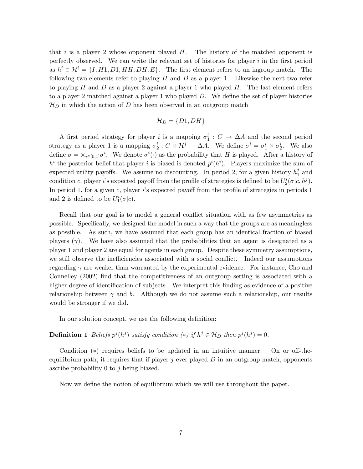that i is a player 2 whose opponent played  $H$ . The history of the matched opponent is perfectly observed. We can write the relevant set of histories for player  $i$  in the first period as  $h^i \in \mathcal{H}^i = \{I, H1, D1, HH, DH, E\}.$  The first element refers to an ingroup match. The following two elements refer to playing  $H$  and  $D$  as a player 1. Likewise the next two refer to playing H and D as a player 2 against a player 1 who played  $H$ . The last element refers to a player 2 matched against a player 1 who played  $D$ . We define the set of player histories  $\mathcal{H}_D$  in which the action of D has been observed in an outgroup match

$$
\mathcal{H}_D = \{D1, DH\}
$$

A first period strategy for player i is a mapping  $\sigma_1^i : C \to \Delta A$  and the second period strategy as a player 1 is a mapping  $\sigma_2^i : C \times \mathcal{H}^j \to \Delta A$ . We define  $\sigma^i = \sigma_1^i \times \sigma_2^i$ . We also define  $\sigma = \times_{i \in [0,1]} \sigma^i$ . We denote  $\sigma^i(\cdot)$  as the probability that H is played. After a history of  $h^i$  the posterior belief that player i is biased is denoted  $p^i(h^i)$ . Players maximize the sum of expected utility payoffs. We assume no discounting. In period 2, for a given history  $h_1^j$  $\frac{J}{1}$  and condition c, player *i*'s expected payoff from the profile of strategies is defined to be  $U_2^i(\sigma|c, h^j)$ . In period 1, for a given c, player is expected payoff from the profile of strategies in periods 1 and 2 is defined to be  $U_1^i(\sigma|c)$ .

Recall that our goal is to model a general conflict situation with as few asymmetries as possible. Specifically, we designed the model in such a way that the groups are as meaningless as possible. As such, we have assumed that each group has an identical fraction of biased players  $(\gamma)$ . We have also assumed that the probabilities that an agent is designated as a player 1 and player 2 are equal for agents in each group. Despite these symmetry assumptions, we still observe the inefficiencies associated with a social conflict. Indeed our assumptions regarding  $\gamma$  are weaker than warranted by the experimental evidence. For instance, Cho and Connelley (2002) find that the competitiveness of an outgroup setting is associated with a higher degree of identification of subjects. We interpret this finding as evidence of a positive relationship between  $\gamma$  and b. Although we do not assume such a relationship, our results would be stronger if we did.

In our solution concept, we use the following definition:

**Definition 1** Beliefs  $p^{j}(h^{j})$  satisfy condition (\*) if  $h^{j} \in H_D$  then  $p^{j}(h^{j}) = 0$ .

Condition  $(*)$  requires beliefs to be updated in an intuitive manner. On or off-theequilibrium path, it requires that if player j ever played  $D$  in an outgroup match, opponents ascribe probability  $0$  to  $j$  being biased.

Now we define the notion of equilibrium which we will use throughout the paper.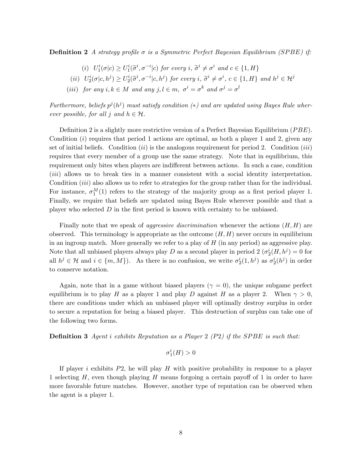**Definition 2** A strategy profile  $\sigma$  is a Symmetric Perfect Bayesian Equilibrium (SPBE) if:

- (i)  $U_1^i(\sigma|c) \ge U_1^i(\tilde{\sigma}^i, \sigma^{-i}|c)$  for every i,  $\tilde{\sigma}^i \ne \sigma^i$  and  $c \in \{1, H\}$
- (ii)  $U_2^i(\sigma|c, h^j) \ge U_2^i(\tilde{\sigma}^i, \sigma^{-i}|c, h^j)$  for every i,  $\tilde{\sigma}^i \ne \sigma^i$ ,  $c \in \{1, H\}$  and  $h^j \in \mathcal{H}^j$
- (iii) for any  $i, k \in M$  and any  $j, l \in m$ ,  $\sigma^i = \sigma^k$  and  $\sigma^j = \sigma^l$

Furthermore, beliefs  $p^j(h^j)$  must satisfy condition (\*) and are updated using Bayes Rule wherever possible, for all j and  $h \in \mathcal{H}$ .

Definition 2 is a slightly more restrictive version of a Perfect Bayesian Equilibrium ( $PBE$ ). Condition  $(i)$  requires that period 1 actions are optimal, as both a player 1 and 2, given any set of initial beliefs. Condition  $(ii)$  is the analogous requirement for period 2. Condition  $(iii)$ requires that every member of a group use the same strategy. Note that in equilibrium, this requirement only bites when players are indifferent between actions. In such a case, condition (iii) allows us to break ties in a manner consistent with a social identity interpretation. Condition *(iii)* also allows us to refer to strategies for the group rather than for the individual. For instance,  $\sigma_1^M(1)$  refers to the strategy of the majority group as a first period player 1. Finally, we require that beliefs are updated using Bayes Rule wherever possible and that a player who selected  $D$  in the first period is known with certainty to be unbiased.

Finally note that we speak of *aggressive discrimination* whenever the actions  $(H, H)$  are observed. This terminology is appropriate as the outcome  $(H, H)$  never occurs in equilibrium in an ingroup match. More generally we refer to a play of  $H$  (in any period) as aggressive play. Note that all unbiased players always play D as a second player in period  $2\left(\sigma_2^i(H, h^j) = 0\right)$  for all  $h^j \in \mathcal{H}$  and  $i \in \{m, M\}$ ). As there is no confusion, we write  $\sigma_2^i(1, h^j)$  as  $\sigma_2^i(h^j)$  in order to conserve notation.

Again, note that in a game without biased players ( $\gamma = 0$ ), the unique subgame perfect equilibrium is to play H as a player 1 and play D against H as a player 2. When  $\gamma > 0$ , there are conditions under which an unbiased player will optimally destroy surplus in order to secure a reputation for being a biased player. This destruction of surplus can take one of the following two forms.

**Definition 3** Agent i exhibits Reputation as a Player 2  $(P2)$  if the SPBE is such that:

$$
\sigma_1^i(H) > 0
$$

If player i exhibits  $P2$ , he will play H with positive probability in response to a player 1 selecting  $H$ , even though playing  $H$  means forgoing a certain payoff of 1 in order to have more favorable future matches. However, another type of reputation can be observed when the agent is a player 1.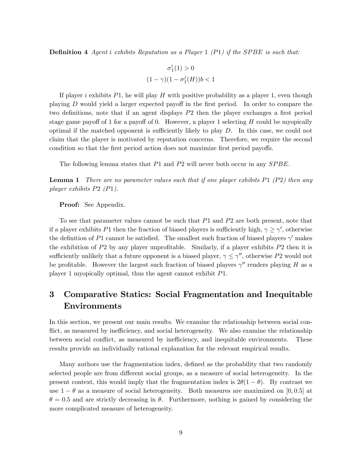**Definition 4** Agent i exhibits Reputation as a Player 1  $(P1)$  if the SPBE is such that:

$$
\sigma_1^i(1) > 0
$$

$$
(1 - \gamma)(1 - \sigma_1^j(H))b < 1
$$

If player i exhibits  $P1$ , he will play H with positive probability as a player 1, even though playing  $D$  would yield a larger expected payoff in the first period. In order to compare the two definitions, note that if an agent displays  $P2$  then the player exchanges a first period stage game payoff of 1 for a payoff of 0. However, a player 1 selecting  $H$  could be myopically optimal if the matched opponent is sufficiently likely to play  $D$ . In this case, we could not claim that the player is motivated by reputation concerns. Therefore, we require the second condition so that the first period action does not maximize first period payoffs.

The following lemma states that  $P1$  and  $P2$  will never both occur in any  $SPBE$ .

**Lemma 1** There are no parameter values such that if one player exhibits  $P1 (P2)$  then any player exhibits P2 (P1).

#### Proof: See Appendix.

To see that parameter values cannot be such that P1 and P2 are both present, note that if a player exhibits P1 then the fraction of biased players is sufficiently high,  $\gamma \ge \gamma'$ , otherwise the definition of P1 cannot be satisfied. The smallest such fraction of biased players  $\gamma'$  makes the exhibition of  $P2$  by any player unprofitable. Similarly, if a player exhibits  $P2$  then it is sufficiently unlikely that a future opponent is a biased player,  $\gamma \leq \gamma''$ , otherwise P2 would not be profitable. However the largest such fraction of biased players  $\gamma''$  renders playing H as a player 1 myopically optimal, thus the agent cannot exhibit P1.

# 3 Comparative Statics: Social Fragmentation and Inequitable Environments

In this section, we present our main results. We examine the relationship between social conflict, as measured by inefficiency, and social heterogeneity. We also examine the relationship between social conflict, as measured by inefficiency, and inequitable environments. These results provide an individually rational explanation for the relevant empirical results.

Many authors use the fragmentation index, defined as the probability that two randomly selected people are from different social groups, as a measure of social heterogeneity. In the present context, this would imply that the fragmentation index is  $2\theta(1 - \theta)$ . By contrast we use  $1 - \theta$  as a measure of social heterogeneity. Both measures are maximized on [0,0.5] at  $\theta = 0.5$  and are strictly decreasing in  $\theta$ . Furthermore, nothing is gained by considering the more complicated measure of heterogeneity.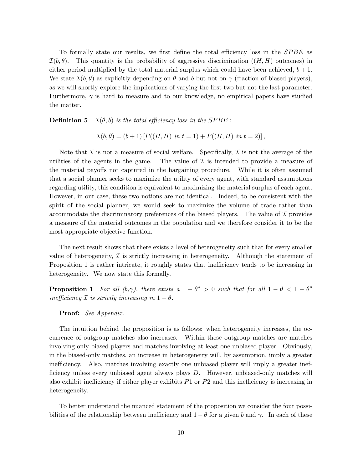To formally state our results, we first define the total efficiency loss in the *SPBE* as  $\mathcal{I}(b, \theta)$ . This quantity is the probability of aggressive discrimination  $((H, H)$  outcomes) in either period multiplied by the total material surplus which could have been achieved,  $b + 1$ . We state  $\mathcal{I}(b, \theta)$  as explicitly depending on  $\theta$  and b but not on  $\gamma$  (fraction of biased players), as we will shortly explore the implications of varying the first two but not the last parameter. Furthermore,  $\gamma$  is hard to measure and to our knowledge, no empirical papers have studied the matter.

#### **Definition 5**  $\mathcal{I}(\theta, b)$  is the total efficiency loss in the SPBE :

$$
\mathcal{I}(b,\theta) = (b+1) [P((H,H) \text{ in } t=1) + P((H,H) \text{ in } t=2)],
$$

Note that  $\mathcal I$  is not a measure of social welfare. Specifically,  $\mathcal I$  is not the average of the utilities of the agents in the game. The value of  $\mathcal I$  is intended to provide a measure of the material payoffs not captured in the bargaining procedure. While it is often assumed that a social planner seeks to maximize the utility of every agent, with standard assumptions regarding utility, this condition is equivalent to maximizing the material surplus of each agent. However, in our case, these two notions are not identical. Indeed, to be consistent with the spirit of the social planner, we would seek to maximize the volume of trade rather than accommodate the discriminatory preferences of the biased players. The value of  $\mathcal I$  provides a measure of the material outcomes in the population and we therefore consider it to be the most appropriate objective function.

The next result shows that there exists a level of heterogeneity such that for every smaller value of heterogeneity,  $\mathcal I$  is strictly increasing in heterogeneity. Although the statement of Proposition 1 is rather intricate, it roughly states that inefficiency tends to be increasing in heterogeneity. We now state this formally.

**Proposition 1** For all  $(b,\gamma)$ , there exists a  $1-\theta^* > 0$  such that for all  $1-\theta < 1-\theta^*$ inefficiency  $\mathcal I$  is strictly increasing in  $1-\theta$ .

#### Proof: See Appendix.

The intuition behind the proposition is as follows: when heterogeneity increases, the occurrence of outgroup matches also increases. Within these outgroup matches are matches involving only biased players and matches involving at least one unbiased player. Obviously, in the biased-only matches, an increase in heterogeneity will, by assumption, imply a greater inefficiency. Also, matches involving exactly one unbiased player will imply a greater inefficiency unless every unbiased agent always plays  $D$ . However, unbiased-only matches will also exhibit inefficiency if either player exhibits  $P1$  or  $P2$  and this inefficiency is increasing in heterogeneity.

To better understand the nuanced statement of the proposition we consider the four possibilities of the relationship between inefficiency and  $1 - \theta$  for a given b and  $\gamma$ . In each of these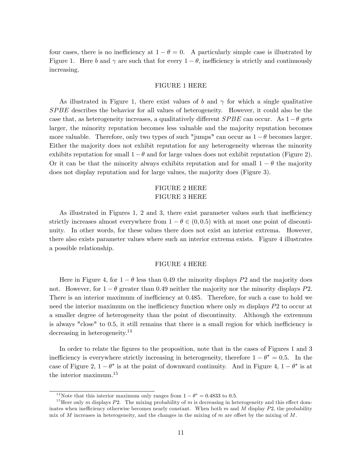four cases, there is no inefficiency at  $1 - \theta = 0$ . A particularly simple case is illustrated by Figure 1. Here b and  $\gamma$  are such that for every  $1-\theta$ , inefficiency is strictly and continuously increasing.

#### FIGURE 1 HERE

As illustrated in Figure 1, there exist values of b and  $\gamma$  for which a single qualitative SPBE describes the behavior for all values of heterogeneity. However, it could also be the case that, as heterogeneity increases, a qualitatively different  $SPBE$  can occur. As  $1-\theta$  gets larger, the minority reputation becomes less valuable and the majority reputation becomes more valuable. Therefore, only two types of such "jumps" can occur as  $1 - \theta$  becomes larger. Either the majority does not exhibit reputation for any heterogeneity whereas the minority exhibits reputation for small  $1 - \theta$  and for large values does not exhibit reputation (Figure 2). Or it can be that the minority always exhibits reputation and for small  $1 - \theta$  the majority does not display reputation and for large values, the majority does (Figure 3).

## FIGURE 2 HERE FIGURE 3 HERE

As illustrated in Figures 1, 2 and 3, there exist parameter values such that inefficiency strictly increases almost everywhere from  $1 - \theta \in (0, 0.5)$  with at most one point of discontinuity. In other words, for these values there does not exist an interior extrema. However, there also exists parameter values where such an interior extrema exists. Figure 4 illustrates a possible relationship.

#### FIGURE 4 HERE

Here in Figure 4, for  $1 - \theta$  less than 0.49 the minority displays P2 and the majority does not. However, for  $1 - \theta$  greater than 0.49 neither the majority nor the minority displays P2. There is an interior maximum of inefficiency at 0.485. Therefore, for such a case to hold we need the interior maximum on the inefficiency function where only  $m$  displays  $P2$  to occur at a smaller degree of heterogeneity than the point of discontinuity. Although the extremum is always "close" to 0.5, it still remains that there is a small region for which inefficiency is decreasing in heterogeneity.<sup>14</sup>

In order to relate the figures to the proposition, note that in the cases of Figures 1 and 3 inefficiency is everywhere strictly increasing in heterogeneity, therefore  $1 - \theta^* = 0.5$ . In the case of Figure 2,  $1 - \theta^*$  is at the point of downward continuity. And in Figure 4,  $1 - \theta^*$  is at the interior maximum.<sup>15</sup>

<sup>&</sup>lt;sup>14</sup>Note that this interior maximum only ranges from  $1 - \theta^* = 0.4833$  to 0.5.

<sup>&</sup>lt;sup>15</sup> Here only m displays P2. The mixing probability of m is decreasing in heterogeneity and this effect dominates when inefficiency otherwise becomes nearly constant. When both  $m$  and  $M$  display  $P2$ , the probability mix of M increases in heterogeneity, and the changes in the mixing of  $m$  are offset by the mixing of  $M$ .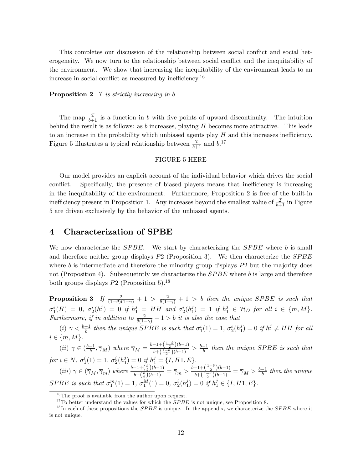This completes our discussion of the relationship between social conflict and social heterogeneity. We now turn to the relationship between social conflict and the inequitability of the environment. We show that increasing the inequitability of the environment leads to an increase in social conflict as measured by inefficiency.<sup>16</sup>

**Proposition 2**  $\mathcal I$  is strictly increasing in b.

The map  $\frac{\mathcal{I}}{b+1}$  is a function in b with five points of upward discontinuity. The intuition behind the result is as follows: as b increases, playing  $H$  becomes more attractive. This leads to an increase in the probability which unbiased agents play  $H$  and this increases inefficiency. Figure 5 illustrates a typical relationship between  $\frac{\mathcal{I}}{b+1}$  and  $b$ .<sup>17</sup>

#### FIGURE 5 HERE

Our model provides an explicit account of the individual behavior which drives the social conflict. Specifically, the presence of biased players means that inefficiency is increasing in the inequitability of the environment. Furthermore, Proposition 2 is free of the built-in inefficiency present in Proposition 1. Any increases beyond the smallest value of  $\frac{\mathcal{I}}{b+1}$  in Figure 5 are driven exclusively by the behavior of the unbiased agents.

## 4 Characterization of SPBE

We now characterize the  $SPBE$ . We start by characterizing the  $SPBE$  where b is small and therefore neither group displays  $P2$  (Proposition 3). We then characterize the  $SPBE$ where b is intermediate and therefore the minority group displays  $P2$  but the majority does not (Proposition 4). Subsequetntly we characterize the  $SPBE$  where b is large and therefore both groups displays  $P2$  (Proposition 5).<sup>18</sup>

**Proposition 3** If  $\frac{2}{(1-\theta)(1-\gamma)}+1 > \frac{2}{\theta(1-\gamma)}+1 > b$  then the unique SPBE is such that  $\sigma^i_1(H) \; = \; 0, \; \sigma^i_2(h_1^j)$  $\sigma_1^j$  = 0 if  $h_1^j$  = HH and  $\sigma_2^i(h_1^j)$  $j_1^j$  = 1 if  $h_1^j \in \mathcal{H}_D$  for all  $i \in \{m, M\}.$ Furthermore, if in addition to  $\frac{2}{\theta(1-\gamma)} + 1 > b$  it is also the case that

(i)  $\gamma < \frac{b-1}{b}$  then the unique SPBE is such that  $\sigma_1^i(1) = 1$ ,  $\sigma_2^i(h_1^j)$  $j_1^j$  = 0 if  $h_1^j$  $j<sub>1</sub> \neq HH$  for all  $i \in \{m, M\}.$ 

(*ii*)  $\gamma \in (\frac{b-1}{b}, \overline{\gamma}_M)$  where  $\overline{\gamma}_M = \frac{b-1+(\frac{1-\theta}{2})(b-1)}{b+(\frac{1-\theta}{2})(b-1)}$  $\frac{-1 + (\frac{-2}{2})(b-1)}{b+(\frac{1-\theta}{2})(b-1)} > \frac{b-1}{b}$  then the unique SPBE is such that

for  $i \in N$ ,  $\sigma_1^i(1) = 1$ ,  $\sigma_2^i(h_1^j)$  $\mu_1^j$  = 0 if  $h_1^j = \{I, H1, E\}.$ (iii)  $\gamma \in (\overline{\gamma}_M, \overline{\gamma}_m)$  where  $\frac{b-1+(\frac{\theta}{2})(b-1)}{b+(\frac{\theta}{2})(b-1)}$  $\frac{-1+\left(\frac{\theta}{2}\right)\left(\tilde{b}-1\right)}{b+\left(\frac{\theta}{2}\right)(b-1)}=\overline{\gamma}_m>\frac{b-1+\left(\frac{1-\theta}{2}\right)(b-1)}{b+\left(\frac{1-\theta}{2}\right)(b-1)}$  $\frac{-1 + (\frac{-2}{2})(b-1)}{b + (\frac{1-\theta}{2})(b-1)} = \overline{\gamma}_M > \frac{b-1}{b}$  then the unique  $S P B E$  is such that  $\sigma_1^m(1) = 1$ ,  $\sigma_1^M(1) = 0$ ,  $\sigma_2^i(h_1^j)$  $j_1^j$  = 0 if  $h_1^j \in \{I, H1, E\}.$ 

 $16$ The proof is available from the author upon request.

 $17$ To better understand the values for which the  $SPBE$  is not unique, see Proposition 8.

<sup>&</sup>lt;sup>18</sup>In each of these propositions the *SPBE* is unique. In the appendix, we characterize the *SPBE* where it is not unique.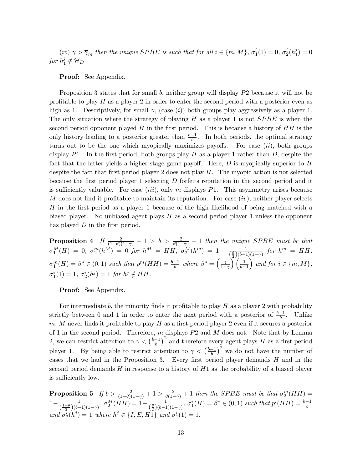$(iv) \gamma > \overline{\gamma}_m$  then the unique SPBE is such that for all  $i \in \{m, M\}$ ,  $\sigma_1^i(1) = 0$ ,  $\sigma_2^i(h_1^j)$  $_{1}^{j})=0$ for  $h_1^j \notin \mathcal{H}_D$ 

Proof: See Appendix.

Proposition 3 states that for small b, neither group will display P2 because it will not be profitable to play H as a player 2 in order to enter the second period with a posterior even as high as 1. Descriptively, for small  $\gamma$ , (case (i)) both groups play aggressively as a player 1. The only situation where the strategy of playing  $H$  as a player 1 is not  $SPBE$  is when the second period opponent played H in the first period. This is because a history of  $HH$  is the only history leading to a posterior greater than  $\frac{b-1}{b}$ . In both periods, the optimal strategy turns out to be the one which myopically maximizes payoffs. For case  $(ii)$ , both groups display P1. In the first period, both groups play H as a player 1 rather than D, despite the fact that the latter yields a higher stage game payoff. Here,  $D$  is myopically superior to  $H$ despite the fact that first period player 2 does not play  $H$ . The myopic action is not selected because the first period player 1 selecting  $D$  forfeits reputation in the second period and it is sufficiently valuable. For case  $(iii)$ , only m displays P1. This asymmetry arises because M does not find it profitable to maintain its reputation. For case  $(iv)$ , neither player selects H in the first period as a player 1 because of the high likelihood of being matched with a biased player. No unbiased agent plays  $H$  as a second period player 1 unless the opponent has played  $D$  in the first period.

**Proposition 4** If  $\frac{2}{(1-\theta)(1-\gamma)}+1 > b > \frac{2}{\theta(1-\gamma)}+1$  then the unique SPBE must be that  $\sigma_1^M(H) \ = \ 0, \ \ \sigma_2^m(h^M) \ = \ 0 \ \ for \ \ h^M \ = \ HH, \ \ \sigma_2^M(h^m) \ = \ 1 - \frac{1}{(\frac{\theta}{n}) (b-1)}$  $\frac{1}{\left(\frac{\theta}{2}\right)(b-1)(1-\gamma)}$  for  $h^m = HH$ ,  $\sigma_1^m(H) = \beta^* \in (0,1)$  such that  $p^m(HH) = \frac{b-1}{b}$  where  $\beta^* = \left(\frac{\gamma^*}{1-\gamma}\right)$  $1-\gamma$  $\sqrt[3]{\frac{1}{2}}$  $_{b-1}$ ) and for  $i \in \{m, M\},\$  $\sigma_1^i(1) = 1, \ \sigma_2^i(h^j) = 1 \ \text{for } h^j \notin HH.$ 

#### Proof: See Appendix.

For intermediate b, the minority finds it profitable to play  $H$  as a player 2 with probability strictly between 0 and 1 in order to enter the next period with a posterior of  $\frac{b-1}{b}$ . Unlike m, M never finds it profitable to play H as a first period player 2 even if it secures a posterior of 1 in the second period. Therefore,  $m$  displays  $P2$  and  $M$  does not. Note that by Lemma 2, we can restrict attention to  $\gamma < (\frac{b-1}{b})^2$  and therefore every agent plays H as a first period player 1. By being able to restrict attention to  $\gamma < (\frac{b-1}{b})^2$  we do not have the number of cases that we had in the Proposition 3. Every first period player demands  $H$  and in the second period demands H in response to a history of  $H1$  as the probability of a biased player is sufficiently low.

**Proposition 5** If  $b > \frac{2}{(1-\theta)(1-\gamma)} + 1 > \frac{2}{\theta(1-\gamma)} + 1$  then the SPBE must be that  $\sigma_2^m(HH) =$  $1 - \frac{1}{\left(\frac{1-\theta}{2}\right)(b-1)}$  $\frac{1}{\left(\frac{1-\theta}{2}\right)(b-1)(1-\gamma)}, \, \sigma_2^M(HH) = 1 - \frac{1}{\left(\frac{\theta}{2}\right)(b-1)}$  $\frac{1}{\left(\frac{\theta}{2}\right)(b-1)(1-\gamma)}$ ,  $\sigma_1^i(H) = \beta^* \in (0,1)$  such that  $p^i(HH) = \frac{b-1}{b}$ and  $\sigma_2^i(h^j) = 1$  where  $h^j \in \{I, E, H1\}$  and  $\sigma_1^i(1) = 1$ .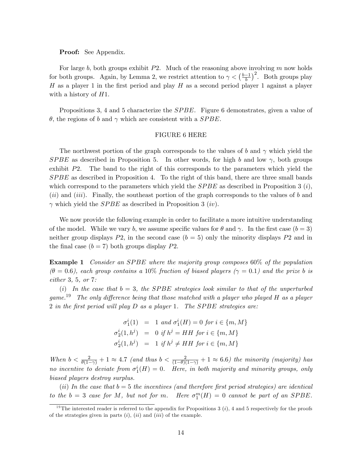#### Proof: See Appendix.

For large b, both groups exhibit  $P2$ . Much of the reasoning above involving m now holds for both groups. Again, by Lemma 2, we restrict attention to  $\gamma < (\frac{b-1}{b})^2$ . Both groups play H as a player 1 in the first period and play H as a second period player 1 against a player with a history of  $H1$ .

Propositions 3, 4 and 5 characterize the *SPBE*. Figure 6 demonstrates, given a value of  $\theta$ , the regions of b and  $\gamma$  which are consistent with a *SPBE*.

#### FIGURE 6 HERE

The northwest portion of the graph corresponds to the values of b and  $\gamma$  which yield the SPBE as described in Proposition 5. In other words, for high b and low  $\gamma$ , both groups exhibit  $P2$ . The band to the right of this corresponds to the parameters which yield the  $SPBE$  as described in Proposition 4. To the right of this band, there are three small bands which correspond to the parameters which yield the  $SPBE$  as described in Proposition 3  $(i)$ ,  $(ii)$  and  $(iii)$ . Finally, the southeast portion of the graph corresponds to the values of b and  $\gamma$  which yield the *SPBE* as described in Proposition 3 (iv).

We now provide the following example in order to facilitate a more intuitive understanding of the model. While we vary b, we assume specific values for  $\theta$  and  $\gamma$ . In the first case  $(b=3)$ neither group displays  $P2$ , in the second case  $(b = 5)$  only the minority displays  $P2$  and in the final case  $(b = 7)$  both groups display P2.

**Example 1** Consider an SPBE where the majority group composes  $60\%$  of the population  $(\theta = 0.6)$ , each group contains a 10% fraction of biased players ( $\gamma = 0.1$ ) and the prize b is either 3, 5, or 7:

(i) In the case that  $b = 3$ , the SPBE strategies look similar to that of the unperturbed  $game.<sup>19</sup>$  The only difference being that those matched with a player who played H as a player  $2$  in the first period will play  $D$  as a player 1. The SPBE strategies are:

> $\sigma_1^i(1) = 1$  and  $\sigma_1^i(H) = 0$  for  $i \in \{m, M\}$  $\sigma_2^i(1, h^j) = 0$  if  $h^j = HH$  for  $i \in \{m, M\}$  $\sigma_2^i(1, h^j) = 1$  if  $h^j \neq HH$  for  $i \in \{m, M\}$

When  $b < \frac{2}{\theta(1-\gamma)} + 1 \approx 4.7$  (and thus  $b < \frac{2}{(1-\theta)(1-\gamma)} + 1 \approx 6.6$ ) the minority (majority) has no incentive to deviate from  $\sigma_1^i(H) = 0$ . Here, in both majority and minority groups, only biased players destroy surplus.

(ii) In the case that  $b = 5$  the incentives (and therefore first period strategies) are identical to the  $b = 3$  case for M, but not for m. Here  $\sigma_1^m(H) = 0$  cannot be part of an SPBE.

<sup>&</sup>lt;sup>19</sup>The interested reader is referred to the appendix for Propositions 3 (i), 4 and 5 respectively for the proofs of the strategies given in parts  $(i)$ ,  $(ii)$  and  $(iii)$  of the example.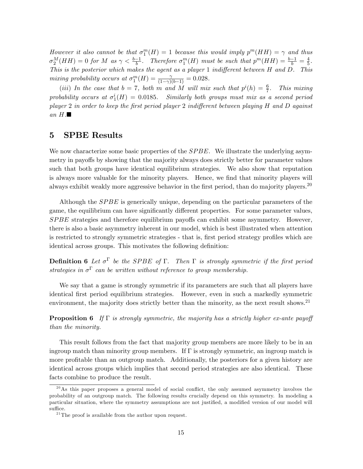However it also cannot be that  $\sigma_1^m(H) = 1$  because this would imply  $p^m(HH) = \gamma$  and thus  $\sigma_2^M(HH) = 0$  for M as  $\gamma < \frac{b-1}{b}$ . Therefore  $\sigma_1^m(H)$  must be such that  $p^m(HH) = \frac{b-1}{b} = \frac{4}{5}$  $\frac{4}{5}$ . This is the posterior which makes the agent as a player  $1$  indifferent between  $H$  and  $D$ . This mixing probability occurs at  $\sigma_1^m(H) = \frac{\gamma}{(1-\gamma)(b-1)} = 0.028$ .

(iii) In the case that  $b = 7$ , both m and M will mix such that  $p^{i}(h) = \frac{6}{7}$ . This mixing probability occurs at  $\sigma_1^i(H) = 0.0185$ . Similarly both groups must mix as a second period player 2 in order to keep the first period player 2 indifferent between playing  $H$  and  $D$  against an  $H.\blacksquare$ 

# 5 SPBE Results

We now characterize some basic properties of the  $SPBE$ . We illustrate the underlying asymmetry in payoffs by showing that the majority always does strictly better for parameter values such that both groups have identical equilibrium strategies. We also show that reputation is always more valuable for the minority players. Hence, we find that minority players will always exhibit weakly more aggressive behavior in the first period, than do majority players.<sup>20</sup>

Although the  $SPBE$  is generically unique, depending on the particular parameters of the game, the equilibrium can have significantly different properties. For some parameter values,  $SPBE$  strategies and therefore equilibrium payoffs can exhibit some asymmetry. However, there is also a basic asymmetry inherent in our model, which is best illustrated when attention is restricted to strongly symmetric strategies - that is, first period strategy profiles which are identical across groups. This motivates the following definition:

**Definition 6** Let  $\sigma^{\Gamma}$  be the SPBE of  $\Gamma$ . Then  $\Gamma$  is strongly symmetric if the first period strategies in  $\sigma^{\Gamma}$  can be written without reference to group membership.

We say that a game is strongly symmetric if its parameters are such that all players have identical Örst period equilibrium strategies. However, even in such a markedly symmetric environment, the majority does strictly better than the minority, as the next result shows.<sup>21</sup>

**Proposition 6** If  $\Gamma$  is strongly symmetric, the majority has a strictly higher ex-ante payoff than the minority.

This result follows from the fact that majority group members are more likely to be in an ingroup match than minority group members. If  $\Gamma$  is strongly symmetric, an ingroup match is more profitable than an outgroup match. Additionally, the posteriors for a given history are identical across groups which implies that second period strategies are also identical. These facts combine to produce the result.

 $^{20}$ As this paper proposes a general model of social conflict, the only assumed asymmetry involves the probability of an outgroup match. The following results crucially depend on this symmetry. In modeling a particular situation, where the symmetry assumptions are not justified, a modified version of our model will suffice.

 $2<sup>1</sup>$ The proof is available from the author upon request.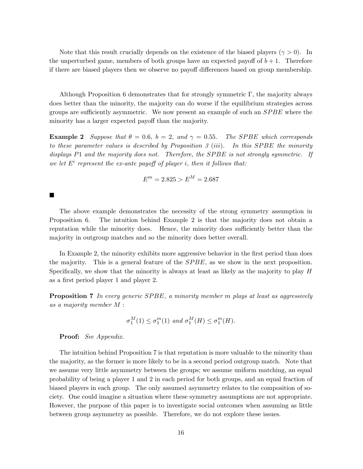Note that this result crucially depends on the existence of the biased players ( $\gamma > 0$ ). In the unperturbed game, members of both groups have an expected payoff of  $b + 1$ . Therefore if there are biased players then we observe no payoff differences based on group membership.

Although Proposition 6 demonstrates that for strongly symmetric  $\Gamma$ , the majority always does better than the minority, the majority can do worse if the equilibrium strategies across groups are sufficiently asymmetric. We now present an example of such an  $SPBE$  where the minority has a larger expected payoff than the majority.

**Example 2** Suppose that  $\theta = 0.6$ ,  $b = 2$ , and  $\gamma = 0.55$ . The SPBE which corresponds to these parameter values is described by Proposition  $3$  (iii). In this SPBE the minority displays P1 and the majority does not. Therefore, the SPBE is not strongly symmetric. If we let  $E^i$  represent the ex-ante payoff of player i, then it follows that:

$$
E^m = 2.825 > E^M = 2.687
$$

 $\blacksquare$ 

The above example demonstrates the necessity of the strong symmetry assumption in Proposition 6. The intuition behind Example 2 is that the majority does not obtain a reputation while the minority does. Hence, the minority does sufficiently better than the majority in outgroup matches and so the minority does better overall.

In Example 2, the minority exhibits more aggressive behavior in the first period than does the majority. This is a general feature of the *SPBE*, as we show in the next proposition. Specifically, we show that the minority is always at least as likely as the majority to play  $H$ as a first period player 1 and player 2.

**Proposition 7** In every generic SPBE, a minority member m plays at least as aggressively as a majority member M :

$$
\sigma_1^M(1) \le \sigma_1^m(1) \text{ and } \sigma_1^M(H) \le \sigma_1^m(H).
$$

Proof: See Appendix.

The intuition behind Proposition 7 is that reputation is more valuable to the minority than the majority, as the former is more likely to be in a second period outgroup match. Note that we assume very little asymmetry between the groups; we assume uniform matching, an equal probability of being a player 1 and 2 in each period for both groups, and an equal fraction of biased players in each group. The only assumed asymmetry relates to the composition of society. One could imagine a situation where these symmetry assumptions are not appropriate. However, the purpose of this paper is to investigate social outcomes when assuming as little between group asymmetry as possible. Therefore, we do not explore these issues.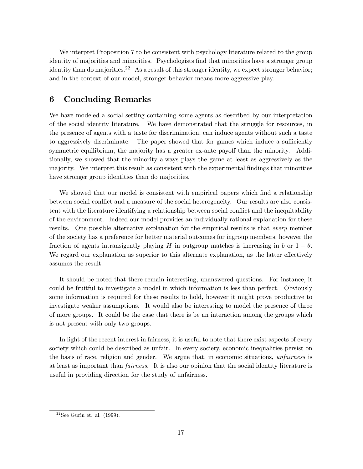We interpret Proposition 7 to be consistent with psychology literature related to the group identity of majorities and minorities. Psychologists Önd that minorities have a stronger group identity than do majorities.<sup>22</sup> As a result of this stronger identity, we expect stronger behavior; and in the context of our model, stronger behavior means more aggressive play.

# 6 Concluding Remarks

We have modeled a social setting containing some agents as described by our interpretation of the social identity literature. We have demonstrated that the struggle for resources, in the presence of agents with a taste for discrimination, can induce agents without such a taste to aggressively discriminate. The paper showed that for games which induce a sufficiently symmetric equilibrium, the majority has a greater ex-ante payoff than the minority. Additionally, we showed that the minority always plays the game at least as aggressively as the majority. We interpret this result as consistent with the experimental findings that minorities have stronger group identities than do majorities.

We showed that our model is consistent with empirical papers which find a relationship between social conflict and a measure of the social heterogeneity. Our results are also consistent with the literature identifying a relationship between social conflict and the inequitability of the environment. Indeed our model provides an individually rational explanation for these results. One possible alternative explanation for the empirical results is that *every* member of the society has a preference for better material outcomes for ingroup members, however the fraction of agents intransigently playing H in outgroup matches is increasing in b or  $1 - \theta$ . We regard our explanation as superior to this alternate explanation, as the latter effectively assumes the result.

It should be noted that there remain interesting, unanswered questions. For instance, it could be fruitful to investigate a model in which information is less than perfect. Obviously some information is required for these results to hold, however it might prove productive to investigate weaker assumptions. It would also be interesting to model the presence of three of more groups. It could be the case that there is be an interaction among the groups which is not present with only two groups.

In light of the recent interest in fairness, it is useful to note that there exist aspects of every society which could be described as unfair. In every society, economic inequalities persist on the basis of race, religion and gender. We argue that, in economic situations, *unfairness* is at least as important than fairness. It is also our opinion that the social identity literature is useful in providing direction for the study of unfairness.

 $22$ See Gurin et. al. (1999).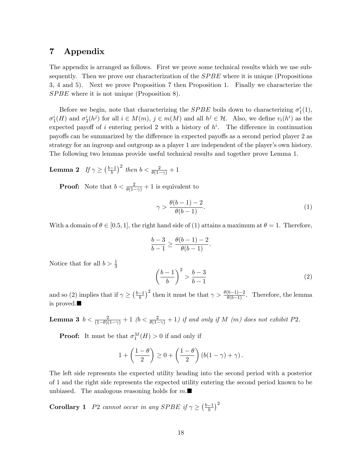# 7 Appendix

The appendix is arranged as follows. First we prove some technical results which we use subsequently. Then we prove our characterization of the  $SPBE$  where it is unique (Propositions 3, 4 and 5). Next we prove Proposition 7 then Proposition 1. Finally we characterize the  $SPBE$  where it is not unique (Proposition 8).

Before we begin, note that characterizing the *SPBE* boils down to characterizing  $\sigma_1^i(1)$ ,  $\sigma_1^i(H)$  and  $\sigma_2^i(h^j)$  for all  $i \in M(m)$ ,  $j \in m(M)$  and all  $h^j \in \mathcal{H}$ . Also, we define  $v_i(h^i)$  as the expected payoff of i entering period 2 with a history of  $h^{i}$ . The difference in continuation payoffs can be summarized by the difference in expected payoffs as a second period player 2 as strategy for an ingroup and outgroup as a player 1 are independent of the player's own history. The following two lemmas provide useful technical results and together prove Lemma 1.

**Lemma 2** If  $\gamma \geq \left(\frac{b-1}{b}\right)^2$  then  $b < \frac{2}{\theta(1-\gamma)} + 1$ 

**Proof:** Note that  $b < \frac{2}{\theta(1-\gamma)} + 1$  is equivalent to

$$
\gamma > \frac{\theta(b-1)-2}{\theta(b-1)}.\tag{1}
$$

With a domain of  $\theta \in [0.5, 1]$ , the right hand side of (1) attains a maximum at  $\theta = 1$ . Therefore,

$$
\frac{b-3}{b-1} \ge \frac{\theta(b-1)-2}{\theta(b-1)}.
$$

Notice that for all  $b > \frac{1}{3}$ 

$$
\left(\frac{b-1}{b}\right)^2 > \frac{b-3}{b-1} \tag{2}
$$

and so (2) implies that if  $\gamma \geq \left(\frac{b-1}{b}\right)^2$  then it must be that  $\gamma > \frac{\theta(b-1)-2}{\theta(b-1)}$ . Therefore, the lemma is proved.

**Lemma 3**  $b < \frac{2}{(1-\theta)(1-\gamma)} + 1$  ( $b < \frac{2}{\theta(1-\gamma)} + 1$ ) if and only if M (m) does not exhibit P2.

**Proof:** It must be that  $\sigma_1^M(H) > 0$  if and only if

$$
1 + \left(\frac{1-\theta}{2}\right) \ge 0 + \left(\frac{1-\theta}{2}\right) \left(b(1-\gamma) + \gamma\right).
$$

The left side represents the expected utility heading into the second period with a posterior of 1 and the right side represents the expected utility entering the second period known to be unbiased. The analogous reasoning holds for  $m$ .

**Corollary 1** P2 cannot occur in any SPBE if  $\gamma \geq \left(\frac{b-1}{b}\right)^2$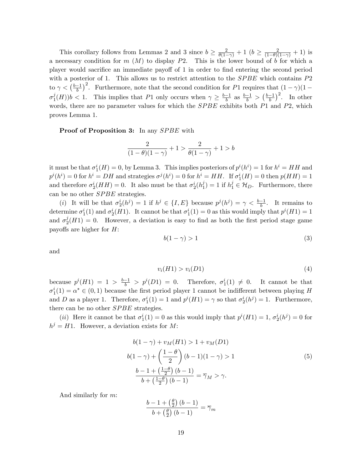This corollary follows from Lemmas 2 and 3 since  $b \geq \frac{2}{\theta(1-\gamma)} + 1$   $(b \geq \frac{2}{(1-\theta)(1-\gamma)} + 1)$  is a necessary condition for  $m(M)$  to display P2. This is the lower bound of b for which a player would sacrifice an immediate payoff of 1 in order to find entering the second period with a posterior of 1. This allows us to restrict attention to the  $SPBE$  which contains  $P2$ to  $\gamma < (\frac{b-1}{b})^2$ . Furthermore, note that the second condition for P1 requires that  $(1 - \gamma)(1 \sigma_1^j$  $\frac{j_1(H)}{b} < 1$ . This implies that P1 only occurs when  $\gamma \geq \frac{b-1}{b}$  as  $\frac{b-1}{b} > \left(\frac{b-1}{b}\right)^2$ . In other words, there are no parameter values for which the  $SPBE$  exhibits both  $P1$  and  $P2$ , which proves Lemma 1.

**Proof of Proposition 3:** In any SPBE with

$$
\frac{2}{(1-\theta)(1-\gamma)}+1>\frac{2}{\theta(1-\gamma)}+1>b
$$

it must be that  $\sigma_1^i(H) = 0$ , by Lemma 3. This implies posteriors of  $p^i(h^i) = 1$  for  $h^i = HH$  and  $p^i(h^i) = 0$  for  $h^i = DH$  and strategies  $\sigma^j(h^i) = 0$  for  $h^i = HH$ . If  $\sigma^i_1(H) = 0$  then  $p(HH) = 1$ and therefore  $\sigma_2^i(HH) = 0$ . It also must be that  $\sigma_2^i(h_1^j)$  $j_1^j$  = 1 if  $h_1^j \in \mathcal{H}_D$ . Furthermore, there can be no other *SPBE* strategies.

(*i*) It will be that  $\sigma_2^i(h^j) = 1$  if  $h^j \in \{I, E\}$  because  $p^j(h^j) = \gamma \langle \frac{b-1}{b} \rangle$ . It remains to determine  $\sigma_1^i(1)$  and  $\sigma_2^i(H1)$ . It cannot be that  $\sigma_1^i(1) = 0$  as this would imply that  $p^i(H1) = 1$ and  $\sigma^j_{\gamma}$  $2<sub>2</sub>(H1) = 0$ . However, a deviation is easy to find as both the first period stage game payoffs are higher for  $H$ :

$$
b(1 - \gamma) > 1 \tag{3}
$$

and

$$
v_i(H1) > v_i(D1) \tag{4}
$$

because  $p^{i}(H1) = 1 > \frac{b-1}{b} > p^{i}(D1) = 0$ . Therefore,  $\sigma_1^{i}(1) \neq 0$ . It cannot be that  $\sigma_1^i(1) = \alpha^* \in (0,1)$  because the first period player 1 cannot be indifferent between playing H and D as a player 1. Therefore,  $\sigma_1^i(1) = 1$  and  $p^i(H1) = \gamma$  so that  $\sigma_2^i(h^j) = 1$ . Furthermore, there can be no other *SPBE* strategies.

(*ii*) Here it cannot be that  $\sigma_1^i(1) = 0$  as this would imply that  $p^i(H1) = 1$ ,  $\sigma_2^i(h^j) = 0$  for  $h^{j} = H1$ . However, a deviation exists for M:

$$
b(1 - \gamma) + v_M(H1) > 1 + v_M(D1)
$$
  
\n
$$
b(1 - \gamma) + \left(\frac{1 - \theta}{2}\right)(b - 1)(1 - \gamma) > 1
$$
  
\n
$$
\frac{b - 1 + \left(\frac{1 - \theta}{2}\right)(b - 1)}{b + \left(\frac{1 - \theta}{2}\right)(b - 1)} = \overline{\gamma}_M > \gamma.
$$
  
\n(5)

And similarly for m:

$$
\frac{b-1+\left(\frac{\theta}{2}\right)(b-1)}{b+\left(\frac{\theta}{2}\right)(b-1)} = \overline{\gamma}_m
$$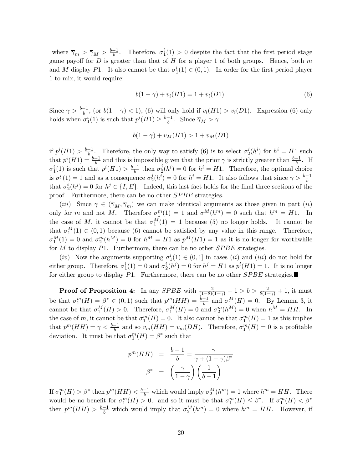where  $\overline{\gamma}_m > \overline{\gamma}_M > \frac{b-1}{b}$ . Therefore,  $\sigma_1^i(1) > 0$  despite the fact that the first period stage game payoff for D is greater than that of H for a player 1 of both groups. Hence, both  $m$ and M display P1. It also cannot be that  $\sigma_1^i(1) \in (0,1)$ . In order for the first period player 1 to mix, it would require:

$$
b(1 - \gamma) + v_i(H1) = 1 + v_i(D1). \tag{6}
$$

Since  $\gamma > \frac{b-1}{b}$ , (or  $b(1-\gamma) < 1$ ), (6) will only hold if  $v_i(H1) > v_i(D1)$ . Expression (6) only holds when  $\sigma_1^i(1)$  is such that  $p^i(H) \ge \frac{b-1}{b}$ . Since  $\overline{\gamma}_M > \gamma$ 

$$
b(1 - \gamma) + v_M(H1) > 1 + v_M(D1)
$$

if  $p^{i}(H1) > \frac{b-1}{b}$ . Therefore, the only way to satisfy (6) is to select  $\sigma_2^{j}$  $i_2^j(h^i)$  for  $h^i = H1$  such that  $p^{i}(H1) = \frac{b-1}{b}$  and this is impossible given that the prior  $\gamma$  is strictly greater than  $\frac{b-1}{b}$ . If  $\sigma_1^i(1)$  is such that  $p^i(H1) > \frac{b-1}{b}$  then  $\sigma_2^j$  $2(h^i) = 0$  for  $h^i = H1$ . Therefore, the optimal choice is  $\sigma_1^i(1) = 1$  and as a consequence  $\sigma_2^j$  $\frac{d}{dt}j(h^i) = 0$  for  $h^i = H1$ . It also follows that since  $\gamma > \frac{b-1}{b}$ that  $\sigma_2^i(h^j) = 0$  for  $h^j \in \{I, E\}$ . Indeed, this last fact holds for the final three sections of the proof. Furthermore, there can be no other SPBE strategies.

(*iii*) Since  $\gamma \in (\overline{\gamma}_M, \overline{\gamma}_m)$  we can make identical arguments as those given in part (*ii*) only for m and not M. Therefore  $\sigma_1^m(1) = 1$  and  $\sigma^M(h^m) = 0$  such that  $h^m = H1$ . In the case of M, it cannot be that  $\sigma_1^M(1) = 1$  because (5) no longer holds. It cannot be that  $\sigma_1^M(1) \in (0,1)$  because (6) cannot be satisfied by any value in this range. Therefore,  $\sigma_1^M(1) = 0$  and  $\sigma_2^m(h^M) = 0$  for  $h^M = H1$  as  $p^M(H1) = 1$  as it is no longer for worthwhile for  $M$  to display  $P1$ . Furthermore, there can be no other  $SPBE$  strategies.

(*iv*) Now the arguments supporting  $\sigma_1^i(1) \in (0,1]$  in cases (*ii*) and (*iii*) do not hold for either group. Therefore,  $\sigma_1^i(1) = 0$  and  $\sigma_2^i(h^j) = 0$  for  $h^j = H1$  as  $p^i(H1) = 1$ . It is no longer for either group to display P1. Furthermore, there can be no other  $SPBE$  strategies.

**Proof of Proposition 4:** In any *SPBE* with  $\frac{2}{(1-\theta)(1-\gamma)}+1 > b > \frac{2}{\theta(1-\gamma)}+1$ , it must be that  $\sigma_1^m(H) = \beta^* \in (0,1)$  such that  $p^m(HH) = \frac{b-1}{b}$  and  $\sigma_1^M(H) = 0$ . By Lemma 3, it cannot be that  $\sigma_1^M(H) > 0$ . Therefore,  $\sigma_1^M(H) = 0$  and  $\sigma_2^m(h^M) = 0$  when  $h^M = HH$ . In the case of m, it cannot be that  $\sigma_1^m(H) = 0$ . It also cannot be that  $\sigma_1^m(H) = 1$  as this implies that  $p^m(HH) = \gamma < \frac{b-1}{b}$  and so  $v_m(HH) = v_m(DH)$ . Therefore,  $\sigma_1^m(H) = 0$  is a profitable deviation. It must be that  $\sigma_1^m(H) = \beta^*$  such that

$$
p^{m}(HH) = \frac{b-1}{b} = \frac{\gamma}{\gamma + (1-\gamma)\beta^*}
$$

$$
\beta^* = \left(\frac{\gamma}{1-\gamma}\right)\left(\frac{1}{b-1}\right)
$$

If  $\sigma_1^m(H) > \beta^*$  then  $p^m(HH) < \frac{b-1}{b}$  which would imply  $\sigma_2^M(h^m) = 1$  where  $h^m = HH$ . There would be no benefit for  $\sigma_1^m(H) > 0$ , and so it must be that  $\sigma_1^m(H) \leq \beta^*$ . If  $\sigma_1^m(H) < \beta^*$ then  $p^m(HH) > \frac{b-1}{b}$  which would imply that  $\sigma_2^M(h^m) = 0$  where  $h^m = HH$ . However, if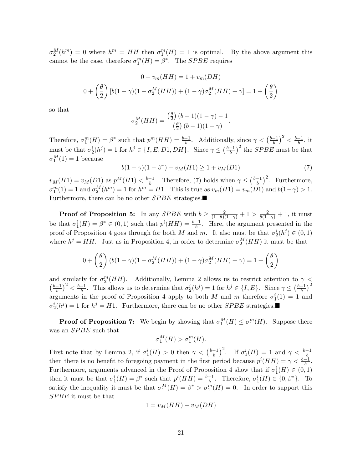$\sigma_2^M(h^m) = 0$  where  $h^m = HH$  then  $\sigma_1^m(H) = 1$  is optimal. By the above argument this cannot be the case, therefore  $\sigma_1^m(H) = \beta^*$ . The *SPBE* requires

$$
0 + v_m(HH) = 1 + v_m(DH)
$$
  

$$
0 + \left(\frac{\theta}{2}\right)[b(1-\gamma)(1-\sigma_2^M(HH)) + (1-\gamma)\sigma_2^M(HH) + \gamma] = 1 + \left(\frac{\theta}{2}\right)
$$

so that

$$
\sigma_2^M(HH) = \frac{\left(\frac{\theta}{2}\right)(b-1)(1-\gamma) - 1}{\left(\frac{\theta}{2}\right)(b-1)(1-\gamma)}.
$$

Therefore,  $\sigma_1^m(H) = \beta^*$  such that  $p^m(HH) = \frac{b-1}{b}$ . Additionally, since  $\gamma < (\frac{b-1}{b})^2 < \frac{b-1}{b}$ , it must be that  $\sigma_2^i(h^j) = 1$  for  $h^j \in \{I, E, D1, DH\}$ . Since  $\gamma \leq \left(\frac{b-1}{b}\right)^2$  the *SPBE* must be that  $\sigma_1^M(1) = 1$  because

$$
b(1 - \gamma)(1 - \beta^*) + v_M(H1) \ge 1 + v_M(D1)
$$
\n(7)

 $v_M(H1) = v_M(D1)$  as  $p^M(H1) < \frac{b-1}{b}$ . Therefore, (7) holds when  $\gamma \leq (\frac{b-1}{b})^2$ . Furthermore,  $\sigma_1^m(1) = 1$  and  $\sigma_2^M(h^m) = 1$  for  $h^m = H1$ . This is true as  $v_m(H1) = v_m(D1)$  and  $b(1-\gamma) > 1$ . Furthermore, there can be no other  $SPBE$  strategies.

**Proof of Proposition 5:** In any *SPBE* with  $b \ge \frac{2}{(1-\theta)(1-\gamma)} + 1 > \frac{2}{\theta(1-\gamma)} + 1$ , it must be that  $\sigma_1^i(H) = \beta^* \in (0,1)$  such that  $p^i(HH) = \frac{b-1}{b}$ . Here, the argument presented in the proof of Proposition 4 goes through for both M and m. It also must be that  $\sigma_2^i(h^j) \in (0,1)$ where  $h^{j} = HH$ . Just as in Proposition 4, in order to determine  $\sigma_2^M(HH)$  it must be that

$$
0 + \left(\frac{\theta}{2}\right)(b(1-\gamma)(1-\sigma_2^M(HH)) + (1-\gamma)\sigma_2^M(HH) + \gamma) = 1 + \left(\frac{\theta}{2}\right)
$$

and similarly for  $\sigma_2^m(HH)$ . Additionally, Lemma 2 allows us to restrict attention to  $\gamma <$  $\left(\frac{b-1}{b}\right)^2 < \frac{b-1}{b}$ . This allows us to determine that  $\sigma_2^i(h^j) = 1$  for  $h^j \in \{I, E\}$ . Since  $\gamma \leq \left(\frac{b-1}{b}\right)^2$ arguments in the proof of Proposition 4 apply to both M and m therefore  $\sigma_1^i(1) = 1$  and  $\sigma_2^i(h^j) = 1$  for  $h^j = H1$ . Furthermore, there can be no other *SPBE* strategies.

**Proof of Proposition 7:** We begin by showing that  $\sigma_1^M(H) \leq \sigma_1^m(H)$ . Suppose there was an  $SPBE$  such that

$$
\sigma_1^M(H) > \sigma_1^m(H).
$$

First note that by Lemma 2, if  $\sigma_1^i(H) > 0$  then  $\gamma < (\frac{b-1}{b})^2$ . If  $\sigma_1^i(H) = 1$  and  $\gamma < \frac{b-1}{b}$ then there is no benefit to foregoing payment in the first period because  $p^{i}(HH) = \gamma < \frac{b-1}{b}$ . Furthermore, arguments advanced in the Proof of Proposition 4 show that if  $\sigma_1^i(H) \in (0,1)$ then it must be that  $\sigma_1^i(H) = \beta^*$  such that  $p^i(HH) = \frac{b-1}{b}$ . Therefore,  $\sigma_1^i(H) \in \{0, \beta^*\}$ . To satisfy the inequality it must be that  $\sigma_1^M(H) = \beta^* > \sigma_1^m(H) = 0$ . In order to support this SPBE it must be that

$$
1 = v_M(HH) - v_M(DH)
$$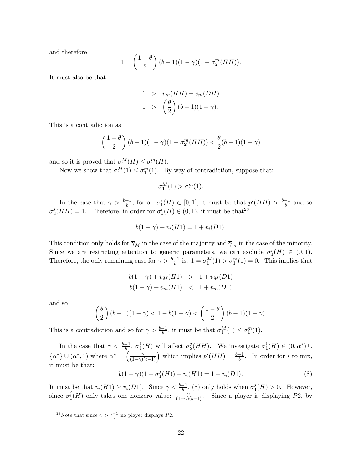and therefore

$$
1 = \left(\frac{1-\theta}{2}\right)(b-1)(1-\gamma)(1-\sigma_2^m(HH)).
$$

It must also be that

$$
1 > v_m(HH) - v_m(DH)
$$
  

$$
1 > \left(\frac{\theta}{2}\right)(b-1)(1-\gamma).
$$

This is a contradiction as

$$
\left(\frac{1-\theta}{2}\right)(b-1)(1-\gamma)(1-\sigma_2^m(HH)) < \frac{\theta}{2}(b-1)(1-\gamma)
$$

and so it is proved that  $\sigma_1^M(H) \leq \sigma_1^m(H)$ .

Now we show that  $\sigma_1^M(1) \leq \sigma_1^m(1)$ . By way of contradiction, suppose that:

$$
\sigma_1^M(1) > \sigma_1^m(1).
$$

In the case that  $\gamma > \frac{b-1}{b}$ , for all  $\sigma_1^i(H) \in [0,1]$ , it must be that  $p^i(HH) > \frac{b-1}{b}$  and so  $\sigma^j_2$  $2<sup>j</sup>(HH) = 1$ . Therefore, in order for  $\sigma_1^i(H) \in (0,1)$ , it must be that<sup>23</sup>

$$
b(1 - \gamma) + v_i(H1) = 1 + v_i(D1).
$$

This condition only holds for  $\overline{\gamma}_M$  in the case of the majority and  $\overline{\gamma}_m$  in the case of the minority. Since we are restricting attention to generic parameters, we can exclude  $\sigma_1^i(H) \in (0,1)$ . Therefore, the only remaining case for  $\gamma > \frac{b-1}{b}$  is:  $1 = \sigma_1^M(1) > \sigma_1^m(1) = 0$ . This implies that

$$
b(1 - \gamma) + v_M(H1) > 1 + v_M(D1)
$$
  

$$
b(1 - \gamma) + v_m(H1) < 1 + v_m(D1)
$$

and so

$$
\left(\frac{\theta}{2}\right)(b-1)(1-\gamma) < 1 - b(1-\gamma) < \left(\frac{1-\theta}{2}\right)(b-1)(1-\gamma).
$$

This is a contradiction and so for  $\gamma > \frac{b-1}{b}$ , it must be that  $\sigma_1^M(1) \leq \sigma_1^m(1)$ .

In the case that  $\gamma < \frac{b-1}{b}$ ,  $\sigma_1^i(H)$  will affect  $\sigma_2^j$  $\sigma_1^j(HH)$ . We investigate  $\sigma_1^i(H) \in (0, \alpha^*)$  $\{\alpha^*\}\cup(\alpha^*,1)$  where  $\alpha^*=\left(\frac{\gamma}{(1-\gamma)(b-1)}\right)$  which implies  $p^i(HH)=\frac{b-1}{b}$ . In order for i to mix, it must be that:

$$
b(1 - \gamma)(1 - \sigma_1^j(H)) + v_i(H1) = 1 + v_i(D1).
$$
\n(8)

It must be that  $v_i(H1) \ge v_i(D1)$ . Since  $\gamma < \frac{b-1}{b}$ , (8) only holds when  $\sigma_1^j$  $_1^{\jmath}(H) > 0$ . However, since  $\sigma_1^j$  $j(1)$  only takes one nonzero value:  $\frac{\gamma}{(1-\gamma)(b-1)}$ . Since a player is displaying P2, by

<sup>&</sup>lt;sup>23</sup>Note that since  $\gamma > \frac{b-1}{b}$  no player displays P2.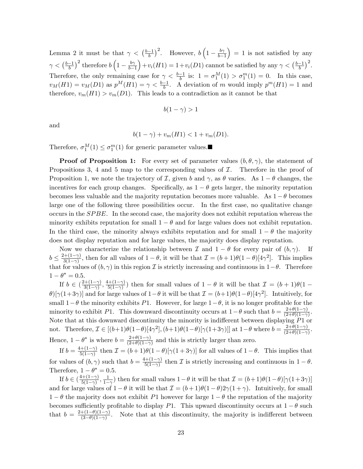Lemma 2 it must be that  $\gamma < (\frac{b-1}{b})^2$ . However,  $b(1-\frac{b\gamma}{b-1})$  $_{b-1}$  $= 1$  is not satisfied by any  $\gamma < \left(\frac{b-1}{b}\right)^2$  therefore  $b\left(1 - \frac{b\gamma}{b-1}\right)$  $_{b-1}$  $\Big)+v_i(H1)=1+v_i(D1)$  cannot be satisfied by any  $\gamma<(\frac{b-1}{b})^2$ . Therefore, the only remaining case for  $\gamma < \frac{b-1}{b}$  is:  $1 = \sigma_1^M(1) > \sigma_1^m(1) = 0$ . In this case,  $v_M(H1) = v_M(D1)$  as  $p^M(H1) = \gamma < \frac{b-1}{b}$ . A deviation of m would imply  $p^m(H1) = 1$  and therefore,  $v_m(H1) > v_m(D1)$ . This leads to a contradiction as it cannot be that

$$
b(1-\gamma) > 1
$$

and

$$
b(1 - \gamma) + v_m(H1) < 1 + v_m(D1).
$$

Therefore,  $\sigma_1^M(1) \leq \sigma_1^m(1)$  for generic parameter values.

**Proof of Proposition 1:** For every set of parameter values  $(b, \theta, \gamma)$ , the statement of Propositions 3, 4 and 5 map to the corresponding values of  $\mathcal{I}$ . Therefore in the proof of Proposition 1, we note the trajectory of  $\mathcal{I}$ , given b and  $\gamma$ , as  $\theta$  varies. As  $1-\theta$  changes, the incentives for each group changes. Specifically, as  $1 - \theta$  gets larger, the minority reputation becomes less valuable and the majority reputation becomes more valuable. As  $1 - \theta$  becomes large one of the following three possibilities occur. In the first case, no qualitative change occurs in the  $SPBE$ . In the second case, the majority does not exhibit reputation whereas the minority exhibits reputation for small  $1 - \theta$  and for large values does not exhibit reputation. In the third case, the minority always exhibits reputation and for small  $1 - \theta$  the majority does not display reputation and for large values, the majority does display reputation.

Now we characterize the relationship between  $\mathcal I$  and  $1-\theta$  for every pair of  $(b, \gamma)$ . If  $b \leq \frac{2+(1-\gamma)}{3(1-\gamma)}$  $\frac{1+(1-\gamma)}{3(1-\gamma)}$ , then for all values of  $1-\theta$ , it will be that  $\mathcal{I} = (b+1)\theta(1-\theta)[4\gamma^2]$ . This implies that for values of  $(b, \gamma)$  in this region  $\mathcal I$  is strictly increasing and continuous in  $1-\theta$ . Therefore  $1 - \theta^* = 0.5.$ 

If  $b \in (\frac{2+(1-\gamma)}{3(1-\gamma)})$  $\frac{3(1-\gamma)}{3(1-\gamma)}$ ,  $\frac{4+(1-\gamma)}{5(1-\gamma)}$  $\frac{1+(1-\gamma)}{5(1-\gamma)}$  then for small values of  $1-\theta$  it will be that  $\mathcal{I} = (b+1)\theta(1-\theta)$  $\theta$ [ $\gamma$ (1+3 $\gamma$ )] and for large values of 1- $\theta$  it will be that  $\mathcal{I} = (b+1)\theta(1-\theta)[4\gamma^2]$ . Intuitively, for small  $1 - \theta$  the minority exhibits P1. However, for large  $1 - \theta$ , it is no longer profitable for the minority to exhibit P1. This downward discontinuity occurs at  $1-\theta$  such that  $b = \frac{2+\theta(1-\gamma)}{(2+\theta)(1-\gamma)}$  $(2+\theta)(1-\gamma)$ . Note that at this downward discontinuity the minority is indifferent between displaying  $\overleftrightarrow{P1}$  or not. Therefore,  $\mathcal{I} \in [(b+1)\theta(1-\theta)[4\gamma^2], (b+1)\theta(1-\theta)[\gamma(1+3\gamma)]]$  at  $1-\theta$  where  $b = \frac{2+\theta(1-\gamma)}{(2+\theta)(1-\gamma)}$  $\frac{2+\theta(1-\gamma)}{(2+\theta)(1-\gamma)}$ Hence,  $1 - \theta^*$  is where  $b = \frac{2 + \theta(1 - \gamma)}{(2 + \theta)(1 - \gamma)}$  $\frac{2+e(1-\gamma)}{(2+\theta)(1-\gamma)}$  and this is strictly larger than zero.

If  $b = \frac{4 + (1 - \gamma)}{5(1 - \gamma)}$  $\frac{f+(1-\gamma)}{5(1-\gamma)}$  then  $\mathcal{I} = (b+1)\theta(1-\theta)[\gamma(1+3\gamma)]$  for all values of  $1-\theta$ . This implies that for values of  $(b, \gamma)$  such that  $b = \frac{4 + (1 - \gamma)}{5(1 - \gamma)}$  $\frac{1+(1-\gamma)}{5(1-\gamma)}$  then  $\mathcal I$  is strictly increasing and continuous in  $1-\theta$ . Therefore,  $1 - \theta^* = 0.5$ .

If  $b \in \left(\frac{4+(1-\gamma)}{5(1-\gamma)}\right)$  $\frac{1+(1-\gamma)}{5(1-\gamma)}$ ,  $\frac{1}{1-\gamma}$  then for small values  $1-\theta$  it will be that  $\mathcal{I} = (b+1)\theta(1-\theta)[\gamma(1+3\gamma)]$ and for large values of  $1 - \theta$  it will be that  $\mathcal{I} = (b+1)\theta(1-\theta)2\gamma(1+\gamma)$ . Intuitively, for small  $1 - \theta$  the majority does not exhibit P1 however for large  $1 - \theta$  the reputation of the majority becomes sufficiently profitable to display P1. This upward discontinuity occurs at  $1 - \theta$  such that  $b = \frac{2+(1-\theta)(1-\gamma)}{(3-\theta)(1-\gamma)}$  $(3-\theta)(1-\gamma)$ Note that at this discontinuity, the majority is indifferent between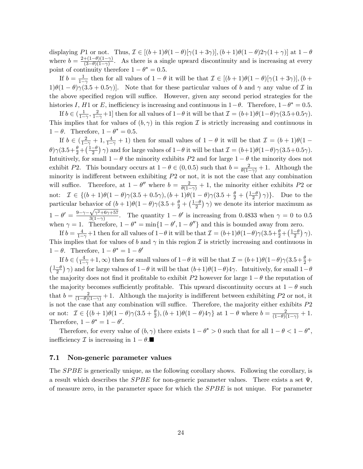displaying P1 or not. Thus,  $\mathcal{I} \in [(b+1)\theta(1-\theta)[\gamma(1+3\gamma)], (b+1)\theta(1-\theta)2\gamma(1+\gamma)]$  at  $1-\theta$ where  $b = \frac{2+(1-\theta)(1-\gamma)}{(3-\theta)(1-\gamma)}$  $\frac{(\pm (1-\theta)(1-\gamma)}{(3-\theta)(1-\gamma)}$ . As there is a single upward discontinuity and is increasing at every point of continuity therefore  $1 - \theta^* = 0.5$ .

If  $b = \frac{1}{1-\gamma}$  then for all values of  $1-\theta$  it will be that  $\mathcal{I} \in [(b+1)\theta(1-\theta)]\gamma(1+3\gamma)]$ ,  $(b+\theta)$  $1)\theta(1-\theta)\gamma(3.5+0.5\gamma)$ . Note that for these particular values of b and  $\gamma$  any value of  $\mathcal I$  in the above specified region will suffice. However, given any second period strategies for the histories I, H1 or E, inefficiency is increasing and continuous in  $1-\theta$ . Therefore,  $1-\theta^* = 0.5$ .

If  $b \in (\frac{1}{1-\gamma}, \frac{2}{1-\gamma}+1]$  then for all values of  $1-\theta$  it will be that  $\mathcal{I} = (b+1)\theta(1-\theta)\gamma(3.5+0.5\gamma)$ . This implies that for values of  $(b, \gamma)$  in this region I is strictly increasing and continuous in  $1 - \theta$ . Therefore,  $1 - \theta^* = 0.5$ .

If  $b \in (\frac{2}{1-\gamma}+1, \frac{4}{1-\gamma}+1)$  then for small values of  $1-\theta$  it will be that  $\mathcal{I} = (b+1)\theta(1-\theta)$  $\theta$ )  $\gamma$ (3.5 +  $\frac{\theta}{2}$  + ( $\frac{1-\theta}{2}$  $\frac{(-\theta)}{2}$   $\gamma$  and for large values of  $1-\theta$  it will be that  $\mathcal{I} = (b+1)\theta(1-\theta)\gamma(3.5+0.5\gamma)$ . Intuitively, for small  $1 - \theta$  the minority exhibits P2 and for large  $1 - \theta$  the minority does not exhibit P2. This boundary occurs at  $1 - \theta \in (0, 0.5)$  such that  $b = \frac{2}{\theta(1-\gamma)} + 1$ . Although the minority is indifferent between exhibiting  $P2$  or not, it is not the case that any combination will suffice. Therefore, at  $1 - \theta''$  where  $b = \frac{2}{\theta(1-\gamma)} + 1$ , the minority either exhibits P2 or not:  $\mathcal{I} \in \{ (b+1)\theta(1-\theta)\gamma(3.5+0.5\gamma), (b+1)\theta(1-\theta)\gamma(3.5+\frac{\theta}{2}+\left(\frac{1-\theta}{2}\right)$  $\left(\frac{-\theta}{2}\right)\gamma$ . Due to the particular behavior of  $(b+1)\theta(1-\theta)\gamma(3.5+\frac{\theta}{2}+\left(\frac{1-\theta}{2}\right))$  $\left(\frac{-\theta}{2}\right)\gamma$  we denote its interior maximum as  $1 - \theta' = \frac{9 - \gamma - \sqrt{\gamma^2 + 6\gamma + 57}}{3(1 - \gamma)}$  $\frac{\sqrt{\gamma^2+6\gamma+57}}{3(1-\gamma)}$ . The quantity  $1-\theta'$  is increasing from 0.4833 when  $\gamma=0$  to 0.5 when  $\gamma = 1$ . Therefore,  $1 - \theta^* = \min\{1 - \theta', 1 - \theta''\}$  and this is bounded away from zero.

If  $b = \frac{4}{1-\gamma} + 1$  then for all values of  $1-\theta$  it will be that  $\mathcal{I} = (b+1)\theta(1-\theta)\gamma(3.5+\frac{\theta}{2}+(\frac{1-\theta}{2})\theta)$  $\frac{-\theta}{2}$ )  $\gamma$ ). This implies that for values of b and  $\gamma$  in this region  $\mathcal I$  is strictly increasing and continuous in  $1 - \theta$ . Therefore,  $1 - \theta^* = 1 - \theta'$ 

If  $b \in (\frac{4}{1-\gamma}+1,\infty)$  then for small values of  $1-\theta$  it will be that  $\mathcal{I} = (b+1)\theta(1-\theta)\gamma(3.5+\frac{\theta}{2}+\frac{\theta}{2})$  $\left( \frac{1-\theta}{2} \right)$  $\frac{1-\theta}{2}$   $\gamma$  and for large values of  $1-\theta$  it will be that  $(b+1)\theta(1-\theta)$ 4 $\gamma$ . Intuitively, for small  $1-\theta$ the majority does not find it profitable to exhibit P2 however for large  $1 - \theta$  the reputation of the majority becomes sufficiently profitable. This upward discontinuity occurs at  $1 - \theta$  such that  $b = \frac{2}{(1-\theta)(1-\gamma)} + 1$ . Although the majority is indifferent between exhibiting P2 or not, it is not the case that any combination will suffice. Therefore, the majority either exhibits  $P2$ or not:  $\mathcal{I} \in \{ (b+1)\theta(1-\theta)\gamma(3.5+\frac{\theta}{2}), (b+1)\theta(1-\theta)4\gamma \}$  at  $1-\theta$  where  $b = \frac{2}{(1-\theta)(1-\gamma)} + 1$ . Therefore,  $1 - \theta^* = 1 - \theta'$ .

Therefore, for every value of  $(b, \gamma)$  there exists  $1 - \theta^* > 0$  such that for all  $1 - \theta < 1 - \theta^*$ , inefficiency  $\mathcal I$  is increasing in  $1 - \theta$ .

#### 7.1 Non-generic parameter values

The SPBE is generically unique, as the following corollary shows. Following the corollary, is a result which describes the *SPBE* for non-generic parameter values. There exists a set  $\Psi$ , of measure zero, in the parameter space for which the  $SPBE$  is not unique. For parameter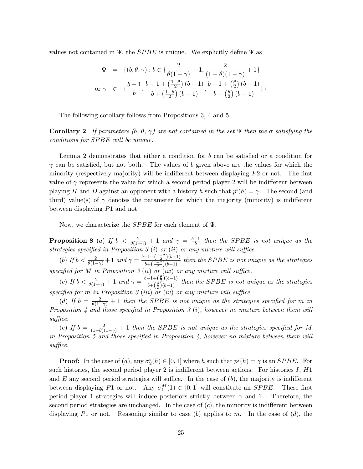values not contained in  $\Psi$ , the *SPBE* is unique. We explicitly define  $\Psi$  as

$$
\Psi = \{ (b, \theta, \gamma) : b \in \{ \frac{2}{\theta(1-\gamma)} + 1, \frac{2}{(1-\theta)(1-\gamma)} + 1 \}
$$
  
or  $\gamma \in \{ \frac{b-1}{b}, \frac{b-1+(\frac{1-\theta}{2})(b-1)}{b+(\frac{1-\theta}{2})(b-1)}, \frac{b-1+(\frac{\theta}{2})(b-1)}{b+(\frac{\theta}{2})(b-1)} \}$ 

The following corollary follows from Propositions 3, 4 and 5.

**Corollary 2** If parameters  $(b, \theta, \gamma)$  are not contained in the set  $\Psi$  then the  $\sigma$  satisfying the conditions for SPBE will be unique.

Lemma 2 demonstrates that either a condition for  $b$  can be satisfied or a condition for  $\gamma$  can be satisfied, but not both. The values of b given above are the values for which the minority (respectively majority) will be indifferent between displaying  $P2$  or not. The first value of  $\gamma$  represents the value for which a second period player 2 will be indifferent between playing H and D against an opponent with a history h such that  $p^{i}(h) = \gamma$ . The second (and third) value(s) of  $\gamma$  denotes the parameter for which the majority (minority) is indifferent between displaying P1 and not.

Now, we characterize the *SPBE* for each element of  $\Psi$ .

**Proposition 8** (a) If  $b < \frac{2}{\theta(1-\gamma)} + 1$  and  $\gamma = \frac{b-1}{b}$  then the SPBE is not unique as the strategies specified in Proposition 3  $(i)$  or  $(ii)$  or any mixture will suffice.

(b) If  $b < \frac{2}{\theta(1-\gamma)} + 1$  and  $\gamma = \frac{b-1+\left(\frac{1-\theta}{2}\right)(b-1)}{b+\left(\frac{1-\theta}{2}\right)(b-1)}$  $\frac{1}{b+\left(\frac{1-\theta}{2}\right)(b-1)}$  then the SPBE is not unique as the strategies specified for M in Proposition 3 (ii) or (iii) or any mixture will suffice.

(c) If  $b < \frac{2}{\theta(1-\gamma)} + 1$  and  $\gamma = \frac{b-1+(\frac{\theta}{2})(b-1)}{b+(\frac{\theta}{2})(b-1)}$  $\frac{1+\frac{1}{2}(2)^{(o-1)}}{b+\left(\frac{\theta}{2}\right)(b-1)}$  then the SPBE is not unique as the strategies specified for  $m$  in Proposition 3 (iii) or (iv) or any mixture will suffice.

(d) If  $b = \frac{2}{\theta(1-\gamma)} + 1$  then the SPBE is not unique as the strategies specified for m in Proposition 4 and those specified in Proposition 3  $(i)$ , however no mixture between them will  $suffice.$ 

(e) If  $b = \frac{2}{(1-\theta)(1-\gamma)} + 1$  then the SPBE is not unique as the strategies specified for M in Proposition 5 and those specified in Proposition  $\lambda$ , however no mixture between them will  $suffice.$ 

**Proof:** In the case of  $(a)$ , any  $\sigma_2^i(h) \in [0,1]$  where h such that  $p^j(h) = \gamma$  is an *SPBE*. For such histories, the second period player 2 is indifferent between actions. For histories I,  $H1$ and E any second period strategies will suffice. In the case of  $(b)$ , the majority is indifferent between displaying P1 or not. Any  $\sigma_1^M(1) \in [0,1]$  will constitute an *SPBE*. These first period player 1 strategies will induce posteriors strictly between  $\gamma$  and 1. Therefore, the second period strategies are unchanged. In the case of  $(c)$ , the minority is indifferent between displaying P1 or not. Reasoning similar to case  $(b)$  applies to m. In the case of  $(d)$ , the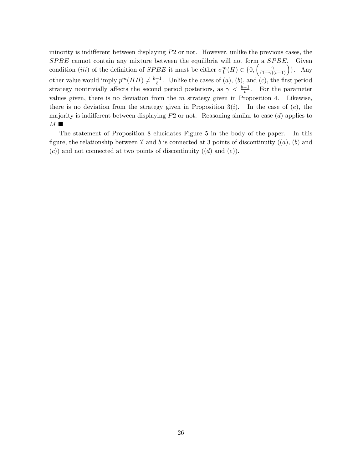minority is indifferent between displaying  $P2$  or not. However, unlike the previous cases, the  $SPBE$  cannot contain any mixture between the equilibria will not form a  $SPBE$ . Given condition (*iii*) of the definition of *SPBE* it must be either  $\sigma_1^m(H) \in \{0, \left(\frac{\gamma}{(1-\gamma)(b-1)}\right)\}\)$ . Any other value would imply  $p^m(HH) \neq \frac{b-1}{b}$ . Unlike the cases of  $(a)$ ,  $(b)$ , and  $(c)$ , the first period strategy nontrivially affects the second period posteriors, as  $\gamma < \frac{b-1}{b}$ . For the parameter values given, there is no deviation from the  $m$  strategy given in Proposition 4. Likewise, there is no deviation from the strategy given in Proposition  $3(i)$ . In the case of  $(e)$ , the majority is indifferent between displaying  $P2$  or not. Reasoning similar to case (d) applies to  $M$ .

The statement of Proposition 8 elucidates Figure 5 in the body of the paper. In this figure, the relationship between  $\mathcal I$  and b is connected at 3 points of discontinuity  $((a), (b)$  and  $(c)$  and not connected at two points of discontinuity  $((d)$  and  $(e)$ ).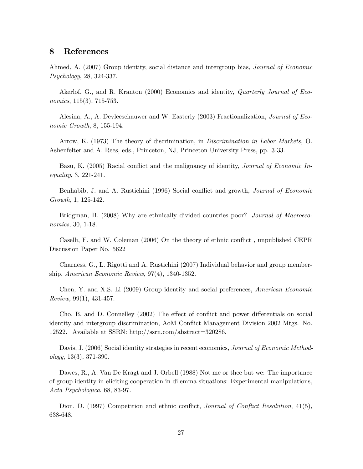# 8 References

Ahmed, A. (2007) Group identity, social distance and intergroup bias, *Journal of Economic* Psychology, 28, 324-337.

Akerlof, G., and R. Kranton (2000) Economics and identity, Quarterly Journal of Economics, 115(3), 715-753.

Alesina, A., A. Devleeschauwer and W. Easterly (2003) Fractionalization, Journal of Economic Growth, 8, 155-194.

Arrow, K. (1973) The theory of discrimination, in Discrimination in Labor Markets, O. Ashenfelter and A. Rees, eds., Princeton, NJ, Princeton University Press, pp. 3-33.

Basu, K. (2005) Racial conflict and the malignancy of identity, *Journal of Economic In*equality, 3, 221-241.

Benhabib, J. and A. Rustichini (1996) Social conflict and growth, *Journal of Economic* Growth, 1, 125-142.

Bridgman, B. (2008) Why are ethnically divided countries poor? *Journal of Macroeco*nomics, 30, 1-18.

Caselli, F. and W. Coleman (2006) On the theory of ethnic conflict, unpublished CEPR Discussion Paper No. 5622

Charness, G., L. Rigotti and A. Rustichini (2007) Individual behavior and group membership, American Economic Review, 97(4), 1340-1352.

Chen, Y. and X.S. Li (2009) Group identity and social preferences, American Economic Review, 99(1), 431-457.

Cho, B. and D. Connelley  $(2002)$  The effect of conflict and power differentials on social identity and intergroup discrimination, AoM Conflict Management Division 2002 Mtgs. No. 12522. Available at SSRN: http://ssrn.com/abstract=320286.

Davis, J. (2006) Social identity strategies in recent economics, *Journal of Economic Method*ology, 13(3), 371-390.

Dawes, R., A. Van De Kragt and J. Orbell (1988) Not me or thee but we: The importance of group identity in eliciting cooperation in dilemma situations: Experimental manipulations, Acta Psychologica, 68, 83-97.

Dion, D. (1997) Competition and ethnic conflict, *Journal of Conflict Resolution*,  $41(5)$ , 638-648.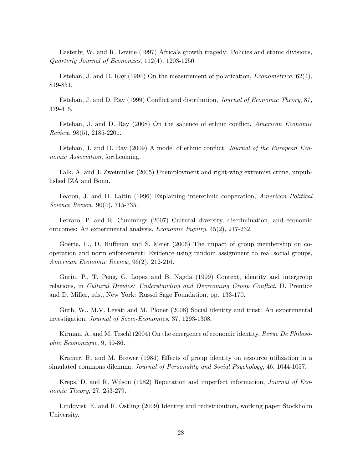Easterly, W. and R. Levine (1997) Africaís growth tragedy: Policies and ethnic divisions, Quarterly Journal of Economics, 112(4), 1203-1250.

Esteban, J. and D. Ray (1994) On the measurement of polarization, Econometrica, 62(4), 819-851.

Esteban, J. and D. Ray (1999) Conflict and distribution, *Journal of Economic Theory*, 87, 379-415.

Esteban, J. and D. Ray (2008) On the salience of ethnic conflict, American Economic Review, 98(5), 2185-2201.

Esteban, J. and D. Ray (2009) A model of ethnic conflict, *Journal of the European Eco*nomic Association, forthcoming.

Falk, A. and J. Zweimuller (2005) Unemployment and right-wing extremist crime, unpublished IZA and Bonn.

Fearon, J. and D. Laitin (1996) Explaining interethnic cooperation, American Political Science Review, 90(4), 715-735.

Ferraro, P. and R. Cummings (2007) Cultural diversity, discrimination, and economic outcomes: An experimental analysis, Economic Inquiry, 45(2), 217-232.

Goette, L., D. Huffman and S. Meier  $(2006)$  The impact of group membership on cooperation and norm enforcement: Evidence using random assignment to real social groups, American Economic Review, 96(2), 212-216.

Gurin, P., T. Peng, G. Lopez and B. Nagda (1999) Context, identity and intergroup relations, in Cultural Divides: Understanding and Overcoming Group Conflict, D. Prentice and D. Miller, eds., New York: Russel Sage Foundation, pp. 133-170.

Guth, W., M.V. Levati and M. Ploner (2008) Social identity and trust: An experimental investigation, Journal of Socio-Economics, 37, 1293-1308.

Kirman, A. and M. Teschl (2004) On the emergence of economic identity, *Revue De Philoso*phie Economique, 9, 59-86.

Kramer, R. and M. Brewer (1984) Effects of group identity on resource utilization in a simulated commons dilemma, *Journal of Personality and Social Psychology*, 46, 1044-1057.

Kreps, D. and R. Wilson (1982) Reputation and imperfect information, Journal of Economic Theory, 27, 253-279.

Lindqvist, E. and R. Ostling (2009) Identity and redistribution, working paper Stockholm University.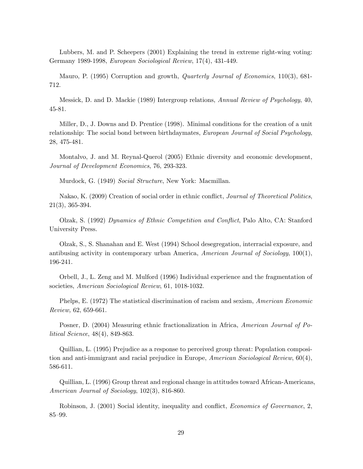Lubbers, M. and P. Scheepers (2001) Explaining the trend in extreme right-wing voting: Germany 1989-1998, European Sociological Review, 17(4), 431-449.

Mauro, P. (1995) Corruption and growth, Quarterly Journal of Economics, 110(3), 681- 712.

Messick, D. and D. Mackie (1989) Intergroup relations, Annual Review of Psychology, 40, 45-81.

Miller, D., J. Downs and D. Prentice (1998). Minimal conditions for the creation of a unit relationship: The social bond between birthdaymates, *European Journal of Social Psychology*, 28, 475-481.

Montalvo, J. and M. Reynal-Querol (2005) Ethnic diversity and economic development, Journal of Development Economics, 76, 293-323.

Murdock, G. (1949) Social Structure, New York: Macmillan.

Nakao, K. (2009) Creation of social order in ethnic conflict, *Journal of Theoretical Politics*, 21(3), 365-394.

Olzak, S. (1992) Dynamics of Ethnic Competition and Conflict, Palo Alto, CA: Stanford University Press.

Olzak, S., S. Shanahan and E. West (1994) School desegregation, interracial exposure, and antibusing activity in contemporary urban America, American Journal of Sociology, 100(1), 196-241.

Orbell, J., L. Zeng and M. Mulford (1996) Individual experience and the fragmentation of societies, American Sociological Review, 61, 1018-1032.

Phelps, E. (1972) The statistical discrimination of racism and sexism, American Economic Review, 62, 659-661.

Posner, D. (2004) Measuring ethnic fractionalization in Africa, American Journal of Political Science, 48(4), 849-863.

Quillian, L. (1995) Prejudice as a response to perceived group threat: Population composition and anti-immigrant and racial prejudice in Europe, *American Sociological Review*, 60(4), 586-611.

Quillian, L. (1996) Group threat and regional change in attitudes toward African-Americans, American Journal of Sociology, 102(3), 816-860.

Robinson, J. (2001) Social identity, inequality and conflict, *Economics of Governance*, 2, 85-99.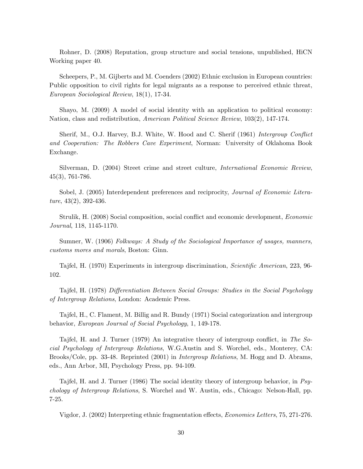Rohner, D. (2008) Reputation, group structure and social tensions, unpublished, HiCN Working paper 40.

Scheepers, P., M. Gijberts and M. Coenders (2002) Ethnic exclusion in European countries: Public opposition to civil rights for legal migrants as a response to perceived ethnic threat, European Sociological Review, 18(1), 17-34.

Shayo, M. (2009) A model of social identity with an application to political economy: Nation, class and redistribution, American Political Science Review, 103(2), 147-174.

Sherif, M., O.J. Harvey, B.J. White, W. Hood and C. Sherif (1961) Intergroup Conflict and Cooperation: The Robbers Cave Experiment, Norman: University of Oklahoma Book Exchange.

Silverman, D. (2004) Street crime and street culture, International Economic Review, 45(3), 761-786.

Sobel, J. (2005) Interdependent preferences and reciprocity, Journal of Economic Literature, 43(2), 392-436.

Strulik, H. (2008) Social composition, social conflict and economic development, *Economic* Journal, 118, 1145-1170.

Sumner, W. (1906) Folkways: A Study of the Sociological Importance of usages, manners, customs mores and morals, Boston: Ginn.

Tajfel, H. (1970) Experiments in intergroup discrimination, *Scientific American*, 223, 96-102.

Tajfel, H. (1978) Differentiation Between Social Groups: Studies in the Social Psychology of Intergroup Relations, London: Academic Press.

Tajfel, H., C. Flament, M. Billig and R. Bundy (1971) Social categorization and intergroup behavior, European Journal of Social Psychology, 1, 149-178.

Tajfel, H. and J. Turner (1979) An integrative theory of intergroup conflict, in The Social Psychology of Intergroup Relations, W.G.Austin and S. Worchel, eds., Monterey, CA: Brooks/Cole, pp. 33-48. Reprinted (2001) in *Intergroup Relations*, M. Hogg and D. Abrams, eds., Ann Arbor, MI, Psychology Press, pp. 94-109.

Tajfel, H. and J. Turner (1986) The social identity theory of intergroup behavior, in Psychology of Intergroup Relations, S. Worchel and W. Austin, eds., Chicago: Nelson-Hall, pp. 7-25.

Vigdor, J. (2002) Interpreting ethnic fragmentation effects, *Economics Letters*, 75, 271-276.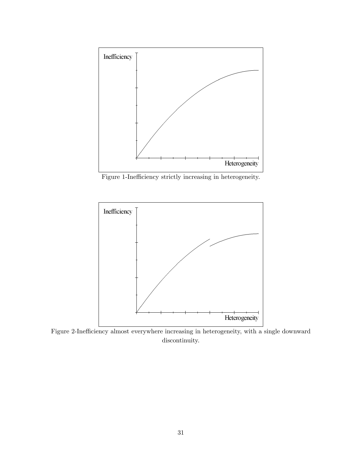

Figure 1-Inefficiency strictly increasing in heterogeneity.



Figure 2-Inefficiency almost everywhere increasing in heterogeneity, with a single downward discontinuity.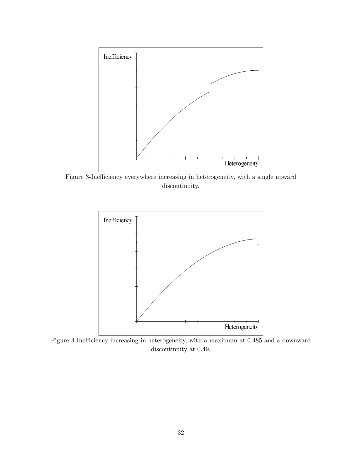

Figure 3-Inefficiency everywhere increasing in heterogeneity, with a single upward discontinuity.



Figure 4-Inefficiency increasing in heterogeneity, with a maximum at 0.485 and a downward discontinuity at 0.49.